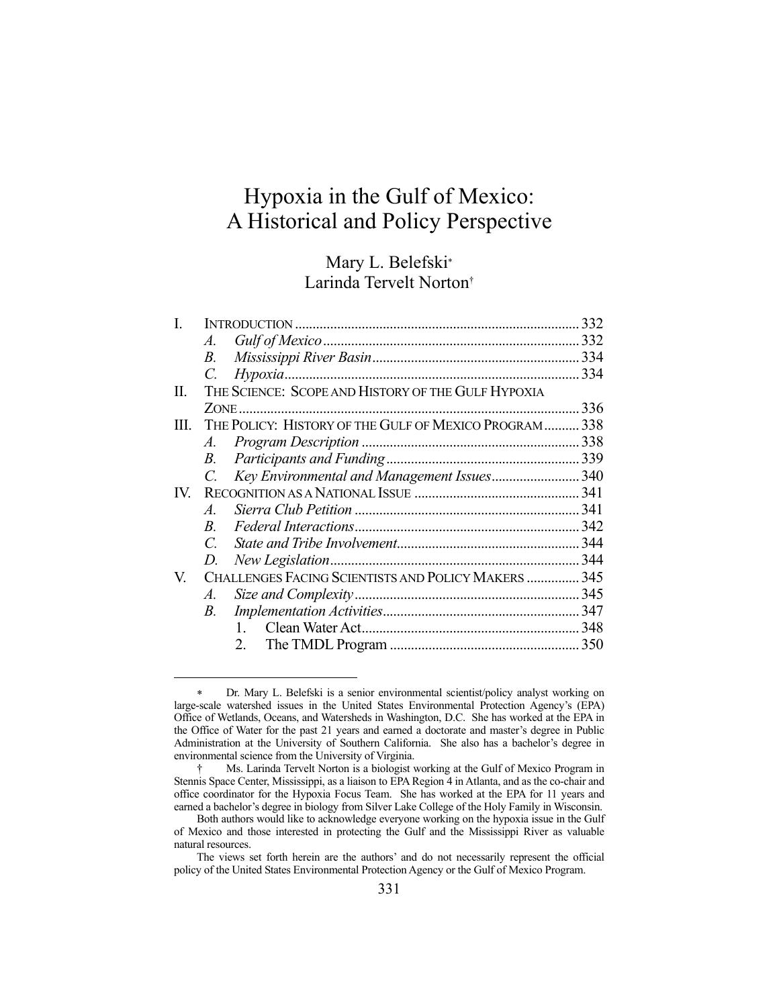# Hypoxia in the Gulf of Mexico: A Historical and Policy Perspective

# Mary L. Belefski Larinda Tervelt Norton†

| Ī.  |                                                             |                                                    |  |
|-----|-------------------------------------------------------------|----------------------------------------------------|--|
|     | A.                                                          |                                                    |  |
|     | B.                                                          |                                                    |  |
|     | C.                                                          |                                                    |  |
| II. |                                                             | THE SCIENCE: SCOPE AND HISTORY OF THE GULF HYPOXIA |  |
|     |                                                             |                                                    |  |
|     | III. THE POLICY: HISTORY OF THE GULF OF MEXICO PROGRAM  338 |                                                    |  |
|     | $A$ .                                                       |                                                    |  |
|     | B.                                                          |                                                    |  |
|     | $C_{\cdot}$                                                 | Key Environmental and Management Issues340         |  |
| IV. |                                                             |                                                    |  |
|     | $\mathcal{A}_{\cdot}$                                       |                                                    |  |
|     | $B_{\cdot}$                                                 |                                                    |  |
|     | $\mathcal{C}$                                               |                                                    |  |
|     | D.                                                          |                                                    |  |
| V.  | CHALLENGES FACING SCIENTISTS AND POLICY MAKERS  345         |                                                    |  |
|     | $A$ .                                                       |                                                    |  |
|     | B.                                                          |                                                    |  |
|     |                                                             | 1.                                                 |  |
|     |                                                             | 2.                                                 |  |
|     |                                                             |                                                    |  |

Dr. Mary L. Belefski is a senior environmental scientist/policy analyst working on large-scale watershed issues in the United States Environmental Protection Agency's (EPA) Office of Wetlands, Oceans, and Watersheds in Washington, D.C. She has worked at the EPA in the Office of Water for the past 21 years and earned a doctorate and master's degree in Public Administration at the University of Southern California. She also has a bachelor's degree in environmental science from the University of Virginia.

 <sup>†</sup> Ms. Larinda Tervelt Norton is a biologist working at the Gulf of Mexico Program in Stennis Space Center, Mississippi, as a liaison to EPA Region 4 in Atlanta, and as the co-chair and office coordinator for the Hypoxia Focus Team. She has worked at the EPA for 11 years and earned a bachelor's degree in biology from Silver Lake College of the Holy Family in Wisconsin.

Both authors would like to acknowledge everyone working on the hypoxia issue in the Gulf of Mexico and those interested in protecting the Gulf and the Mississippi River as valuable natural resources.

The views set forth herein are the authors' and do not necessarily represent the official policy of the United States Environmental Protection Agency or the Gulf of Mexico Program.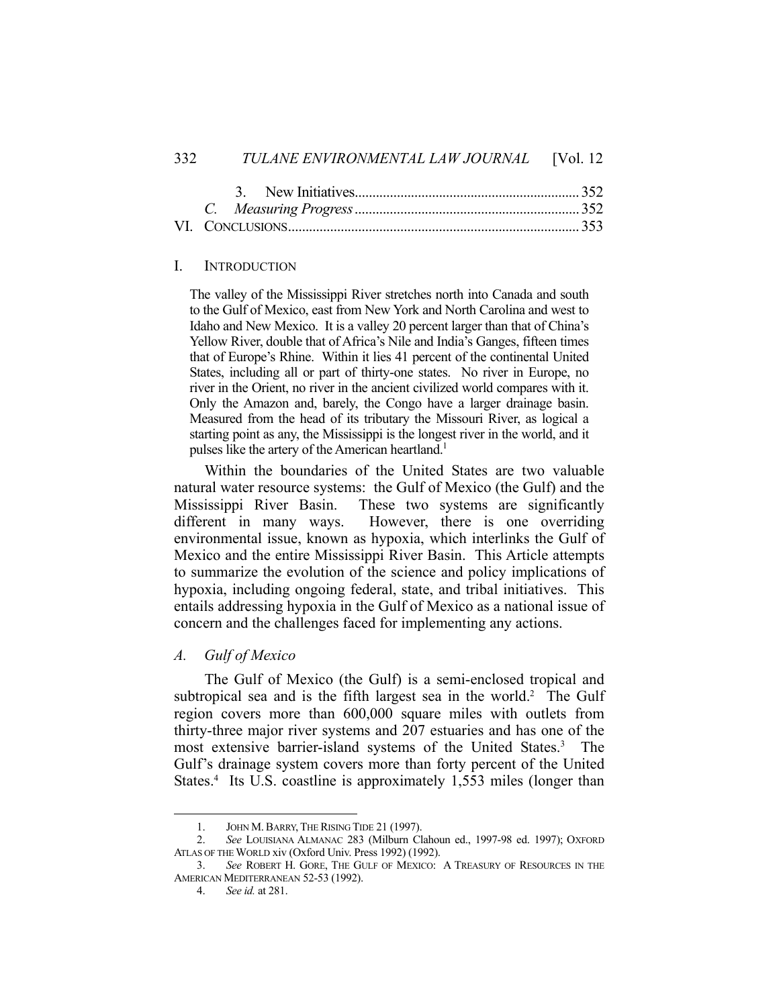#### I. INTRODUCTION

The valley of the Mississippi River stretches north into Canada and south to the Gulf of Mexico, east from New York and North Carolina and west to Idaho and New Mexico. It is a valley 20 percent larger than that of China's Yellow River, double that of Africa's Nile and India's Ganges, fifteen times that of Europe's Rhine. Within it lies 41 percent of the continental United States, including all or part of thirty-one states. No river in Europe, no river in the Orient, no river in the ancient civilized world compares with it. Only the Amazon and, barely, the Congo have a larger drainage basin. Measured from the head of its tributary the Missouri River, as logical a starting point as any, the Mississippi is the longest river in the world, and it pulses like the artery of the American heartland.<sup>1</sup>

 Within the boundaries of the United States are two valuable natural water resource systems: the Gulf of Mexico (the Gulf) and the Mississippi River Basin. These two systems are significantly different in many ways. However, there is one overriding environmental issue, known as hypoxia, which interlinks the Gulf of Mexico and the entire Mississippi River Basin. This Article attempts to summarize the evolution of the science and policy implications of hypoxia, including ongoing federal, state, and tribal initiatives. This entails addressing hypoxia in the Gulf of Mexico as a national issue of concern and the challenges faced for implementing any actions.

*A. Gulf of Mexico* 

 The Gulf of Mexico (the Gulf) is a semi-enclosed tropical and subtropical sea and is the fifth largest sea in the world.<sup>2</sup> The Gulf region covers more than 600,000 square miles with outlets from thirty-three major river systems and 207 estuaries and has one of the most extensive barrier-island systems of the United States.<sup>3</sup> The Gulf's drainage system covers more than forty percent of the United States.<sup>4</sup> Its U.S. coastline is approximately 1,553 miles (longer than

<sup>1.</sup> JOHN M. BARRY, THE RISING TIDE 21 (1997).

 <sup>2.</sup> *See* LOUISIANA ALMANAC 283 (Milburn Clahoun ed., 1997-98 ed. 1997); OXFORD ATLAS OF THE WORLD xiv (Oxford Univ. Press 1992) (1992).

 <sup>3.</sup> *See* ROBERT H. GORE, THE GULF OF MEXICO: A TREASURY OF RESOURCES IN THE AMERICAN MEDITERRANEAN 52-53 (1992).

 <sup>4.</sup> *See id.* at 281.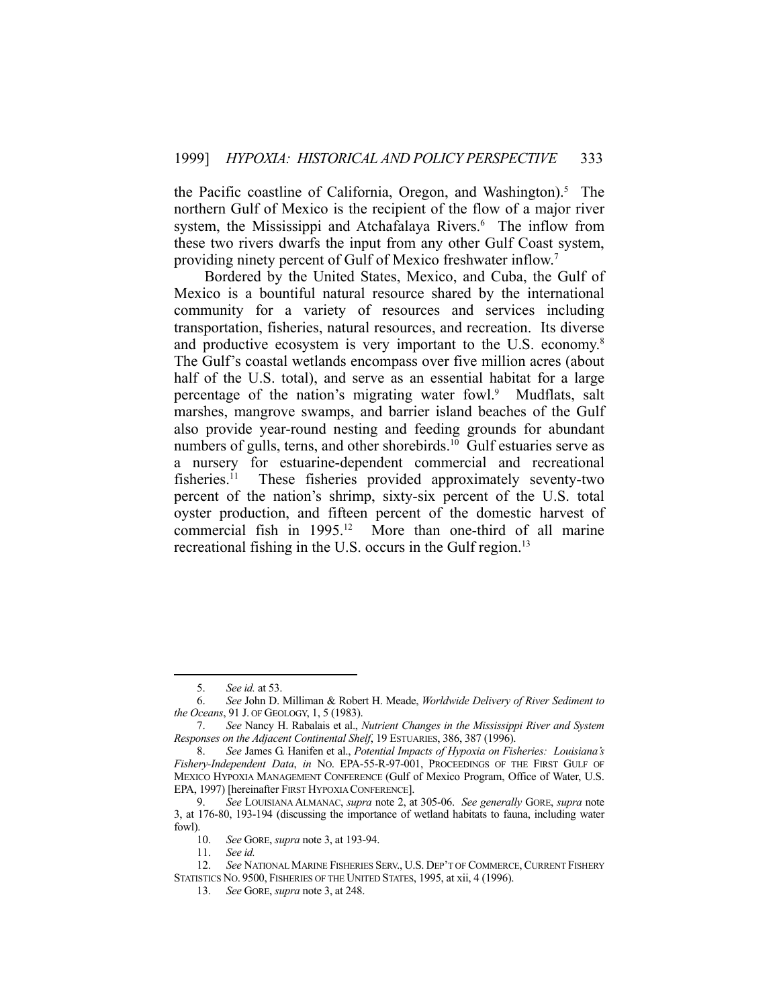the Pacific coastline of California, Oregon, and Washington).<sup>5</sup> The northern Gulf of Mexico is the recipient of the flow of a major river system, the Mississippi and Atchafalaya Rivers.<sup>6</sup> The inflow from these two rivers dwarfs the input from any other Gulf Coast system, providing ninety percent of Gulf of Mexico freshwater inflow.<sup>7</sup>

 Bordered by the United States, Mexico, and Cuba, the Gulf of Mexico is a bountiful natural resource shared by the international community for a variety of resources and services including transportation, fisheries, natural resources, and recreation. Its diverse and productive ecosystem is very important to the U.S. economy.<sup>8</sup> The Gulf's coastal wetlands encompass over five million acres (about half of the U.S. total), and serve as an essential habitat for a large percentage of the nation's migrating water fowl.<sup>9</sup> Mudflats, salt marshes, mangrove swamps, and barrier island beaches of the Gulf also provide year-round nesting and feeding grounds for abundant numbers of gulls, terns, and other shorebirds. $^{10}$  Gulf estuaries serve as a nursery for estuarine-dependent commercial and recreational fisheries.11 These fisheries provided approximately seventy-two percent of the nation's shrimp, sixty-six percent of the U.S. total oyster production, and fifteen percent of the domestic harvest of commercial fish in 1995.12 More than one-third of all marine recreational fishing in the U.S. occurs in the Gulf region.<sup>13</sup>

 <sup>5.</sup> *See id.* at 53.

 <sup>6.</sup> *See* John D. Milliman & Robert H. Meade, *Worldwide Delivery of River Sediment to the Oceans*, 91 J. OF GEOLOGY, 1, 5 (1983).

 <sup>7.</sup> *See* Nancy H. Rabalais et al., *Nutrient Changes in the Mississippi River and System Responses on the Adjacent Continental Shelf*, 19 ESTUARIES, 386, 387 (1996).

 <sup>8.</sup> *See* James G. Hanifen et al., *Potential Impacts of Hypoxia on Fisheries: Louisiana's Fishery-Independent Data*, *in* NO. EPA-55-R-97-001, PROCEEDINGS OF THE FIRST GULF OF MEXICO HYPOXIA MANAGEMENT CONFERENCE (Gulf of Mexico Program, Office of Water, U.S. EPA, 1997) [hereinafter FIRST HYPOXIA CONFERENCE].

 <sup>9.</sup> *See* LOUISIANA ALMANAC, *supra* note 2, at 305-06. *See generally* GORE, *supra* note 3, at 176-80, 193-194 (discussing the importance of wetland habitats to fauna, including water fowl).

 <sup>10.</sup> *See* GORE, *supra* note 3, at 193-94.

 <sup>11.</sup> *See id.*

 <sup>12.</sup> *See* NATIONAL MARINE FISHERIES SERV., U.S. DEP'T OF COMMERCE, CURRENT FISHERY STATISTICS NO. 9500, FISHERIES OF THE UNITED STATES, 1995, at xii, 4 (1996).

 <sup>13.</sup> *See* GORE, *supra* note 3, at 248.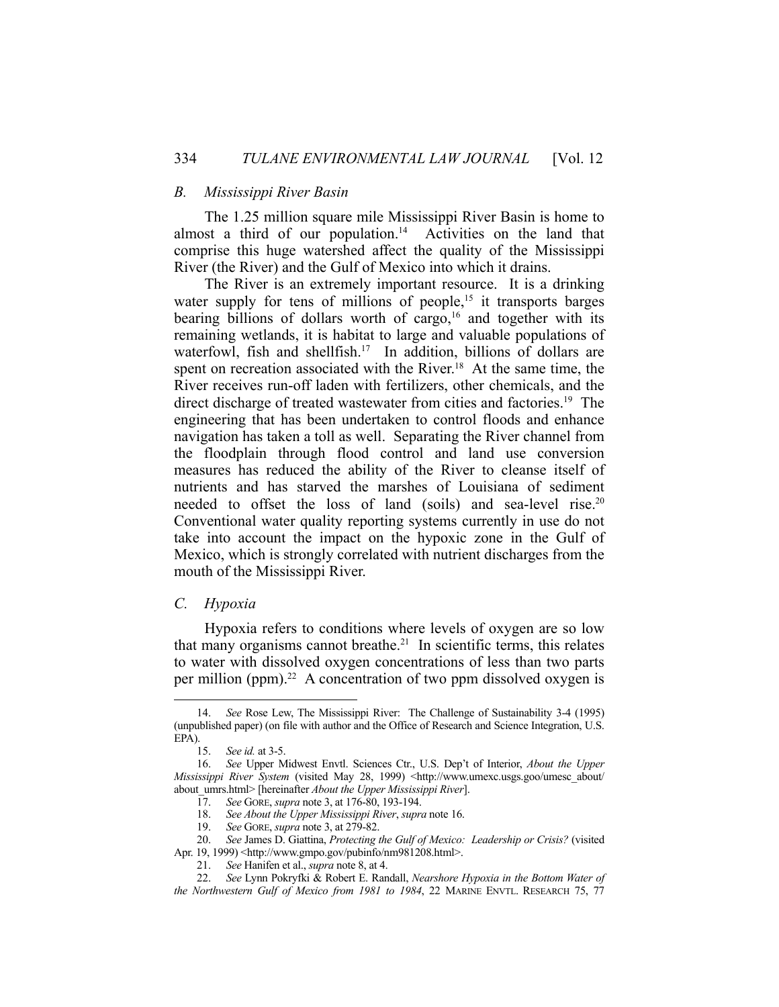# *B. Mississippi River Basin*

 The 1.25 million square mile Mississippi River Basin is home to almost a third of our population.<sup>14</sup> Activities on the land that comprise this huge watershed affect the quality of the Mississippi River (the River) and the Gulf of Mexico into which it drains.

 The River is an extremely important resource. It is a drinking water supply for tens of millions of people,<sup>15</sup> it transports barges bearing billions of dollars worth of cargo,<sup>16</sup> and together with its remaining wetlands, it is habitat to large and valuable populations of waterfowl, fish and shellfish.<sup>17</sup> In addition, billions of dollars are spent on recreation associated with the River.<sup>18</sup> At the same time, the River receives run-off laden with fertilizers, other chemicals, and the direct discharge of treated wastewater from cities and factories.<sup>19</sup> The engineering that has been undertaken to control floods and enhance navigation has taken a toll as well. Separating the River channel from the floodplain through flood control and land use conversion measures has reduced the ability of the River to cleanse itself of nutrients and has starved the marshes of Louisiana of sediment needed to offset the loss of land (soils) and sea-level rise.<sup>20</sup> Conventional water quality reporting systems currently in use do not take into account the impact on the hypoxic zone in the Gulf of Mexico, which is strongly correlated with nutrient discharges from the mouth of the Mississippi River.

# *C. Hypoxia*

1

 Hypoxia refers to conditions where levels of oxygen are so low that many organisms cannot breathe.<sup>21</sup> In scientific terms, this relates to water with dissolved oxygen concentrations of less than two parts per million (ppm).<sup>22</sup> A concentration of two ppm dissolved oxygen is

 <sup>14.</sup> *See* Rose Lew, The Mississippi River: The Challenge of Sustainability 3-4 (1995) (unpublished paper) (on file with author and the Office of Research and Science Integration, U.S. EPA).

 <sup>15.</sup> *See id.* at 3-5.

 <sup>16.</sup> *See* Upper Midwest Envtl. Sciences Ctr., U.S. Dep't of Interior, *About the Upper Mississippi River System* (visited May 28, 1999) <http://www.umexc.usgs.goo/umesc\_about/ about\_umrs.html> [hereinafter *About the Upper Mississippi River*].

 <sup>17.</sup> *See* GORE, *supra* note 3, at 176-80, 193-194.

 <sup>18.</sup> *See About the Upper Mississippi River*, *supra* note 16.

 <sup>19.</sup> *See* GORE, *supra* note 3, at 279-82.

 <sup>20.</sup> *See* James D. Giattina, *Protecting the Gulf of Mexico: Leadership or Crisis?* (visited Apr. 19, 1999) <http://www.gmpo.gov/pubinfo/nm981208.html>.

 <sup>21.</sup> *See* Hanifen et al., *supra* note 8, at 4.

 <sup>22.</sup> *See* Lynn Pokryfki & Robert E. Randall, *Nearshore Hypoxia in the Bottom Water of* 

*the Northwestern Gulf of Mexico from 1981 to 1984*, 22 MARINE ENVTL. RESEARCH 75, 77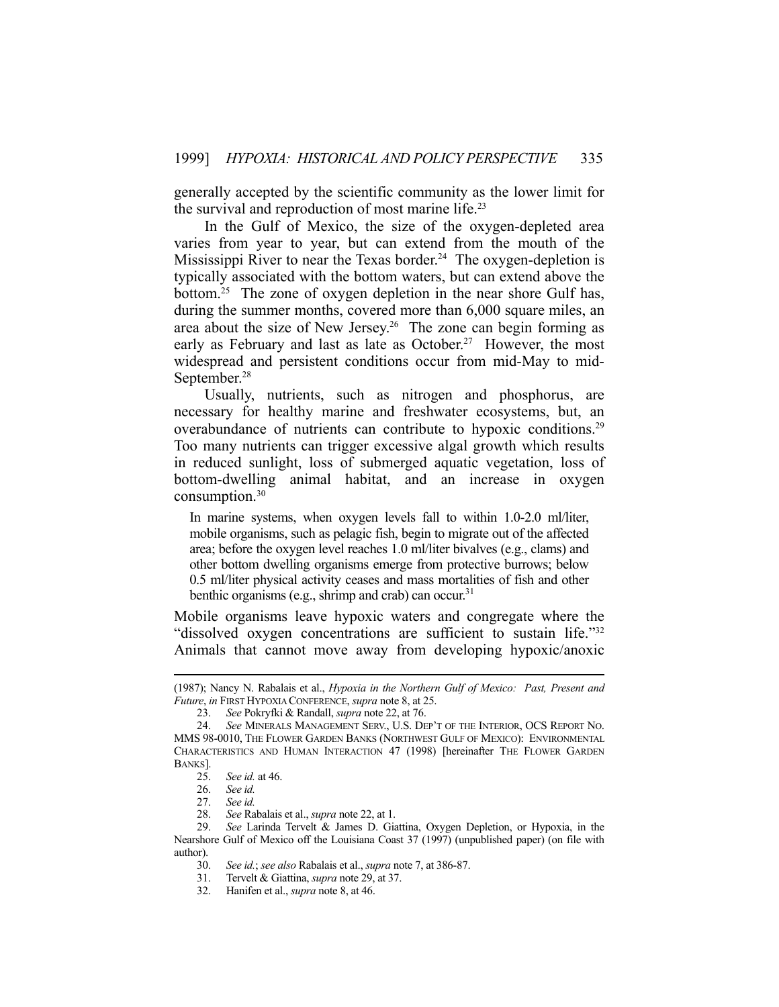generally accepted by the scientific community as the lower limit for the survival and reproduction of most marine life.<sup>23</sup>

 In the Gulf of Mexico, the size of the oxygen-depleted area varies from year to year, but can extend from the mouth of the Mississippi River to near the Texas border.<sup>24</sup> The oxygen-depletion is typically associated with the bottom waters, but can extend above the bottom.25 The zone of oxygen depletion in the near shore Gulf has, during the summer months, covered more than 6,000 square miles, an area about the size of New Jersey.<sup>26</sup> The zone can begin forming as early as February and last as late as October.<sup>27</sup> However, the most widespread and persistent conditions occur from mid-May to mid-September.<sup>28</sup>

 Usually, nutrients, such as nitrogen and phosphorus, are necessary for healthy marine and freshwater ecosystems, but, an overabundance of nutrients can contribute to hypoxic conditions.<sup>29</sup> Too many nutrients can trigger excessive algal growth which results in reduced sunlight, loss of submerged aquatic vegetation, loss of bottom-dwelling animal habitat, and an increase in oxygen consumption.30

In marine systems, when oxygen levels fall to within 1.0-2.0 ml/liter, mobile organisms, such as pelagic fish, begin to migrate out of the affected area; before the oxygen level reaches 1.0 ml/liter bivalves (e.g., clams) and other bottom dwelling organisms emerge from protective burrows; below 0.5 ml/liter physical activity ceases and mass mortalities of fish and other benthic organisms (e.g., shrimp and crab) can occur.<sup>31</sup>

Mobile organisms leave hypoxic waters and congregate where the "dissolved oxygen concentrations are sufficient to sustain life."32 Animals that cannot move away from developing hypoxic/anoxic

 <sup>(1987);</sup> Nancy N. Rabalais et al., *Hypoxia in the Northern Gulf of Mexico: Past, Present and Future*, *in* FIRST HYPOXIA CONFERENCE, *supra* note 8, at 25.

 <sup>23.</sup> *See* Pokryfki & Randall, *supra* note 22, at 76.

 <sup>24.</sup> *See* MINERALS MANAGEMENT SERV., U.S. DEP'T OF THE INTERIOR, OCS REPORT NO. MMS 98-0010, THE FLOWER GARDEN BANKS (NORTHWEST GULF OF MEXICO): ENVIRONMENTAL CHARACTERISTICS AND HUMAN INTERACTION 47 (1998) [hereinafter THE FLOWER GARDEN BANKS].

 <sup>25.</sup> *See id.* at 46.

 <sup>26.</sup> *See id.*

 <sup>27.</sup> *See id.*

 <sup>28.</sup> *See* Rabalais et al., *supra* note 22, at 1.

 <sup>29.</sup> *See* Larinda Tervelt & James D. Giattina, Oxygen Depletion, or Hypoxia, in the Nearshore Gulf of Mexico off the Louisiana Coast 37 (1997) (unpublished paper) (on file with author).

 <sup>30.</sup> *See id.*; *see also* Rabalais et al., *supra* note 7, at 386-87.

 <sup>31.</sup> Tervelt & Giattina, *supra* note 29, at 37.

 <sup>32.</sup> Hanifen et al., *supra* note 8, at 46.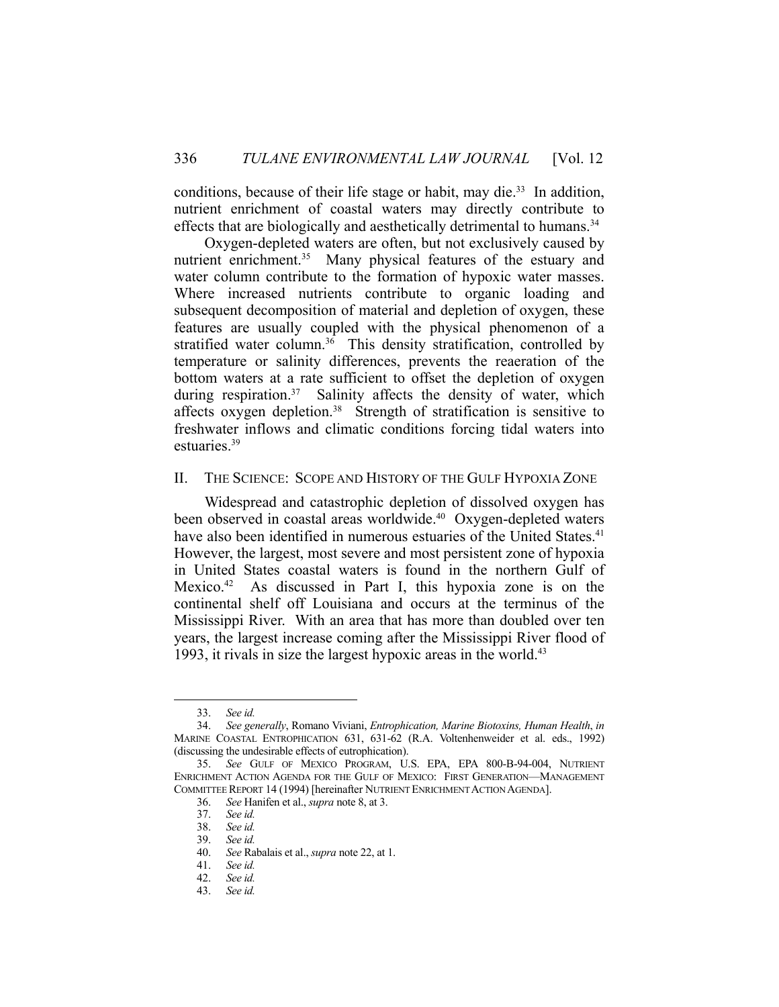conditions, because of their life stage or habit, may die.<sup>33</sup> In addition, nutrient enrichment of coastal waters may directly contribute to effects that are biologically and aesthetically detrimental to humans.<sup>34</sup>

 Oxygen-depleted waters are often, but not exclusively caused by nutrient enrichment.<sup>35</sup> Many physical features of the estuary and water column contribute to the formation of hypoxic water masses. Where increased nutrients contribute to organic loading and subsequent decomposition of material and depletion of oxygen, these features are usually coupled with the physical phenomenon of a stratified water column.<sup>36</sup> This density stratification, controlled by temperature or salinity differences, prevents the reaeration of the bottom waters at a rate sufficient to offset the depletion of oxygen during respiration.<sup>37</sup> Salinity affects the density of water, which affects oxygen depletion.38 Strength of stratification is sensitive to freshwater inflows and climatic conditions forcing tidal waters into estuaries.39

# II. THE SCIENCE: SCOPE AND HISTORY OF THE GULF HYPOXIA ZONE

 Widespread and catastrophic depletion of dissolved oxygen has been observed in coastal areas worldwide.<sup>40</sup> Oxygen-depleted waters have also been identified in numerous estuaries of the United States.<sup>41</sup> However, the largest, most severe and most persistent zone of hypoxia in United States coastal waters is found in the northern Gulf of Mexico.42 As discussed in Part I, this hypoxia zone is on the continental shelf off Louisiana and occurs at the terminus of the Mississippi River. With an area that has more than doubled over ten years, the largest increase coming after the Mississippi River flood of 1993, it rivals in size the largest hypoxic areas in the world.<sup>43</sup>

 <sup>33.</sup> *See id.*

 <sup>34.</sup> *See generally*, Romano Viviani, *Entrophication, Marine Biotoxins, Human Health*, *in* MARINE COASTAL ENTROPHICATION 631, 631-62 (R.A. Voltenhenweider et al. eds., 1992) (discussing the undesirable effects of eutrophication).

 <sup>35.</sup> *See* GULF OF MEXICO PROGRAM, U.S. EPA, EPA 800-B-94-004, NUTRIENT ENRICHMENT ACTION AGENDA FOR THE GULF OF MEXICO: FIRST GENERATION—MANAGEMENT COMMITTEE REPORT 14 (1994) [hereinafter NUTRIENT ENRICHMENT ACTION AGENDA].

 <sup>36.</sup> *See* Hanifen et al., *supra* note 8, at 3.

 <sup>37.</sup> *See id.*

 <sup>38.</sup> *See id.*

 <sup>39.</sup> *See id.* 40. *See* Rabalais et al., *supra* note 22, at 1.

See id.

 <sup>42.</sup> *See id.*

 <sup>43.</sup> *See id.*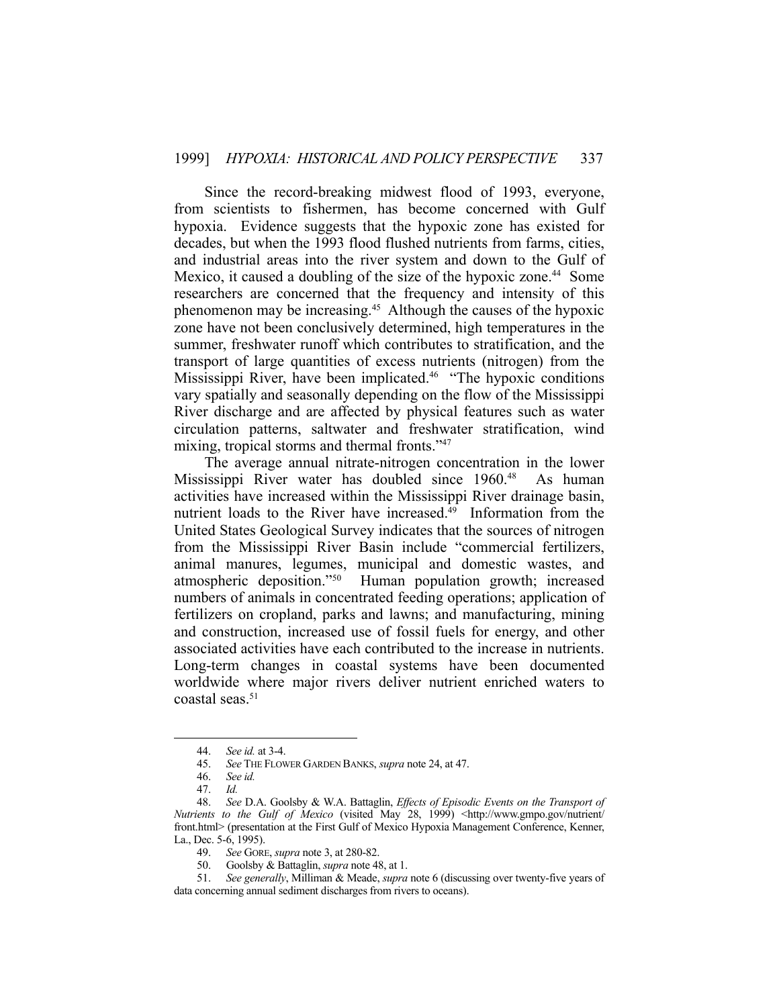Since the record-breaking midwest flood of 1993, everyone, from scientists to fishermen, has become concerned with Gulf hypoxia. Evidence suggests that the hypoxic zone has existed for decades, but when the 1993 flood flushed nutrients from farms, cities, and industrial areas into the river system and down to the Gulf of Mexico, it caused a doubling of the size of the hypoxic zone.<sup>44</sup> Some researchers are concerned that the frequency and intensity of this phenomenon may be increasing.45 Although the causes of the hypoxic zone have not been conclusively determined, high temperatures in the summer, freshwater runoff which contributes to stratification, and the transport of large quantities of excess nutrients (nitrogen) from the Mississippi River, have been implicated.46 "The hypoxic conditions vary spatially and seasonally depending on the flow of the Mississippi River discharge and are affected by physical features such as water circulation patterns, saltwater and freshwater stratification, wind mixing, tropical storms and thermal fronts."<sup>47</sup>

 The average annual nitrate-nitrogen concentration in the lower Mississippi River water has doubled since 1960.<sup>48</sup> As human activities have increased within the Mississippi River drainage basin, nutrient loads to the River have increased. $49$  Information from the United States Geological Survey indicates that the sources of nitrogen from the Mississippi River Basin include "commercial fertilizers, animal manures, legumes, municipal and domestic wastes, and atmospheric deposition."50 Human population growth; increased numbers of animals in concentrated feeding operations; application of fertilizers on cropland, parks and lawns; and manufacturing, mining and construction, increased use of fossil fuels for energy, and other associated activities have each contributed to the increase in nutrients. Long-term changes in coastal systems have been documented worldwide where major rivers deliver nutrient enriched waters to coastal seas.51

 <sup>44.</sup> *See id.* at 3-4.

 <sup>45.</sup> *See* THE FLOWER GARDEN BANKS, *supra* note 24, at 47.

 <sup>46.</sup> *See id.*

 <sup>47.</sup> *Id.*

 <sup>48.</sup> *See* D.A. Goolsby & W.A. Battaglin, *Effects of Episodic Events on the Transport of Nutrients to the Gulf of Mexico* (visited May 28, 1999) <http://www.gmpo.gov/nutrient/ front.html> (presentation at the First Gulf of Mexico Hypoxia Management Conference, Kenner, La., Dec. 5-6, 1995).

 <sup>49.</sup> *See* GORE, *supra* note 3, at 280-82.

 <sup>50.</sup> Goolsby & Battaglin, *supra* note 48, at 1.

 <sup>51.</sup> *See generally*, Milliman & Meade, *supra* note 6 (discussing over twenty-five years of data concerning annual sediment discharges from rivers to oceans).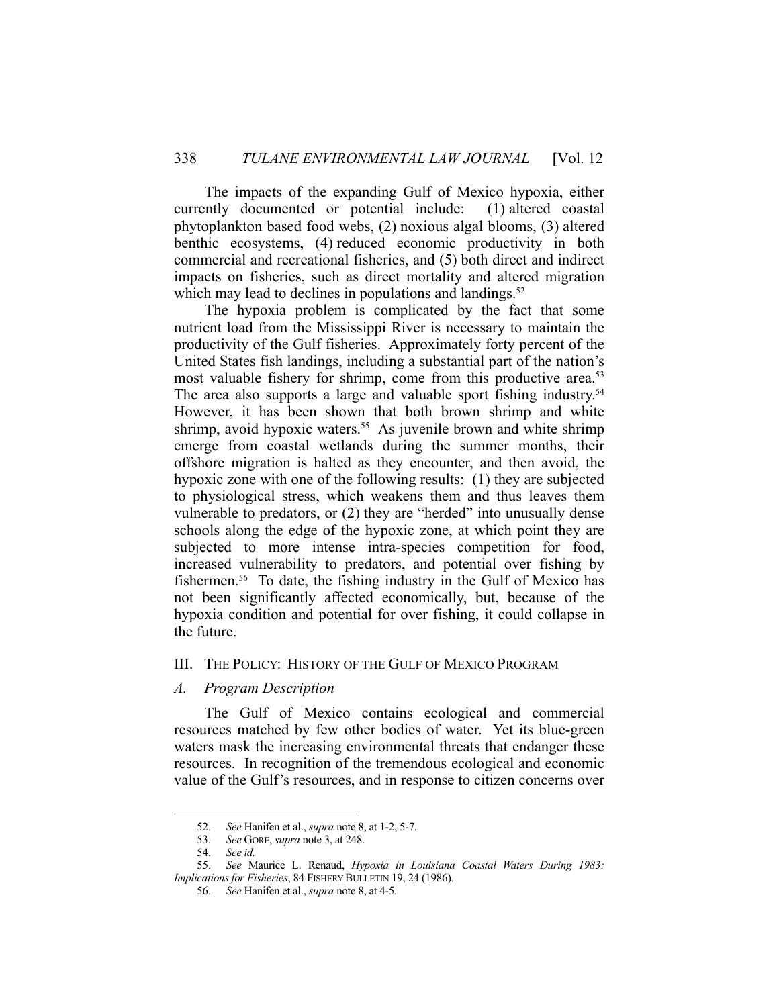The impacts of the expanding Gulf of Mexico hypoxia, either currently documented or potential include: (1) altered coastal phytoplankton based food webs, (2) noxious algal blooms, (3) altered benthic ecosystems, (4) reduced economic productivity in both commercial and recreational fisheries, and (5) both direct and indirect impacts on fisheries, such as direct mortality and altered migration which may lead to declines in populations and landings. $52$ 

 The hypoxia problem is complicated by the fact that some nutrient load from the Mississippi River is necessary to maintain the productivity of the Gulf fisheries. Approximately forty percent of the United States fish landings, including a substantial part of the nation's most valuable fishery for shrimp, come from this productive area.<sup>53</sup> The area also supports a large and valuable sport fishing industry.<sup>54</sup> However, it has been shown that both brown shrimp and white shrimp, avoid hypoxic waters.<sup>55</sup> As juvenile brown and white shrimp emerge from coastal wetlands during the summer months, their offshore migration is halted as they encounter, and then avoid, the hypoxic zone with one of the following results: (1) they are subjected to physiological stress, which weakens them and thus leaves them vulnerable to predators, or (2) they are "herded" into unusually dense schools along the edge of the hypoxic zone, at which point they are subjected to more intense intra-species competition for food, increased vulnerability to predators, and potential over fishing by fishermen.<sup>56</sup> To date, the fishing industry in the Gulf of Mexico has not been significantly affected economically, but, because of the hypoxia condition and potential for over fishing, it could collapse in the future.

# III. THE POLICY: HISTORY OF THE GULF OF MEXICO PROGRAM

# *A. Program Description*

 The Gulf of Mexico contains ecological and commercial resources matched by few other bodies of water. Yet its blue-green waters mask the increasing environmental threats that endanger these resources. In recognition of the tremendous ecological and economic value of the Gulf's resources, and in response to citizen concerns over

 <sup>52.</sup> *See* Hanifen et al., *supra* note 8, at 1-2, 5-7.

 <sup>53.</sup> *See* GORE, *supra* note 3, at 248.

 <sup>54.</sup> *See id.*

 <sup>55.</sup> *See* Maurice L. Renaud, *Hypoxia in Louisiana Coastal Waters During 1983: Implications for Fisheries*, 84 FISHERY BULLETIN 19, 24 (1986).

 <sup>56.</sup> *See* Hanifen et al., *supra* note 8, at 4-5.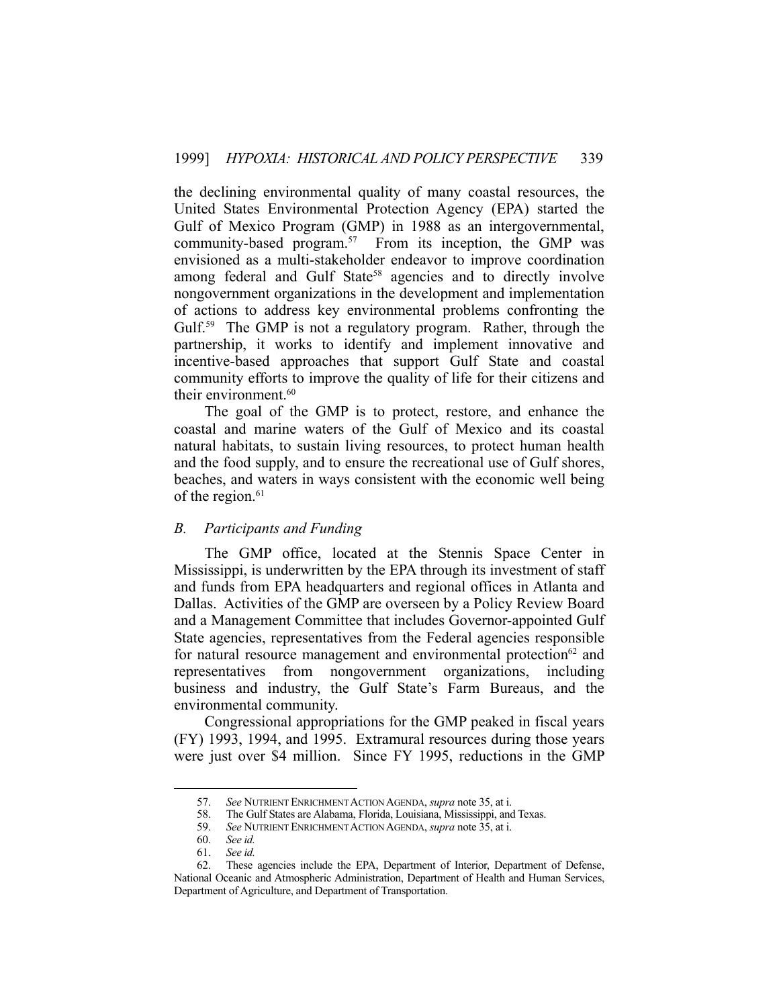the declining environmental quality of many coastal resources, the United States Environmental Protection Agency (EPA) started the Gulf of Mexico Program (GMP) in 1988 as an intergovernmental, community-based program.<sup>57</sup> From its inception, the GMP was envisioned as a multi-stakeholder endeavor to improve coordination among federal and Gulf State<sup>58</sup> agencies and to directly involve nongovernment organizations in the development and implementation of actions to address key environmental problems confronting the Gulf.<sup>59</sup> The GMP is not a regulatory program. Rather, through the partnership, it works to identify and implement innovative and incentive-based approaches that support Gulf State and coastal community efforts to improve the quality of life for their citizens and their environment.<sup>60</sup>

 The goal of the GMP is to protect, restore, and enhance the coastal and marine waters of the Gulf of Mexico and its coastal natural habitats, to sustain living resources, to protect human health and the food supply, and to ensure the recreational use of Gulf shores, beaches, and waters in ways consistent with the economic well being of the region.<sup>61</sup>

# *B. Participants and Funding*

 The GMP office, located at the Stennis Space Center in Mississippi, is underwritten by the EPA through its investment of staff and funds from EPA headquarters and regional offices in Atlanta and Dallas. Activities of the GMP are overseen by a Policy Review Board and a Management Committee that includes Governor-appointed Gulf State agencies, representatives from the Federal agencies responsible for natural resource management and environmental protection $62$  and representatives from nongovernment organizations, including business and industry, the Gulf State's Farm Bureaus, and the environmental community.

 Congressional appropriations for the GMP peaked in fiscal years (FY) 1993, 1994, and 1995. Extramural resources during those years were just over \$4 million. Since FY 1995, reductions in the GMP

 <sup>57.</sup> *See* NUTRIENT ENRICHMENT ACTION AGENDA, *supra* note 35, at i.

 <sup>58.</sup> The Gulf States are Alabama, Florida, Louisiana, Mississippi, and Texas.

 <sup>59.</sup> *See* NUTRIENT ENRICHMENT ACTION AGENDA, *supra* note 35, at i.

 <sup>60.</sup> *See id.*

 <sup>61.</sup> *See id.* These agencies include the EPA, Department of Interior, Department of Defense, National Oceanic and Atmospheric Administration, Department of Health and Human Services, Department of Agriculture, and Department of Transportation.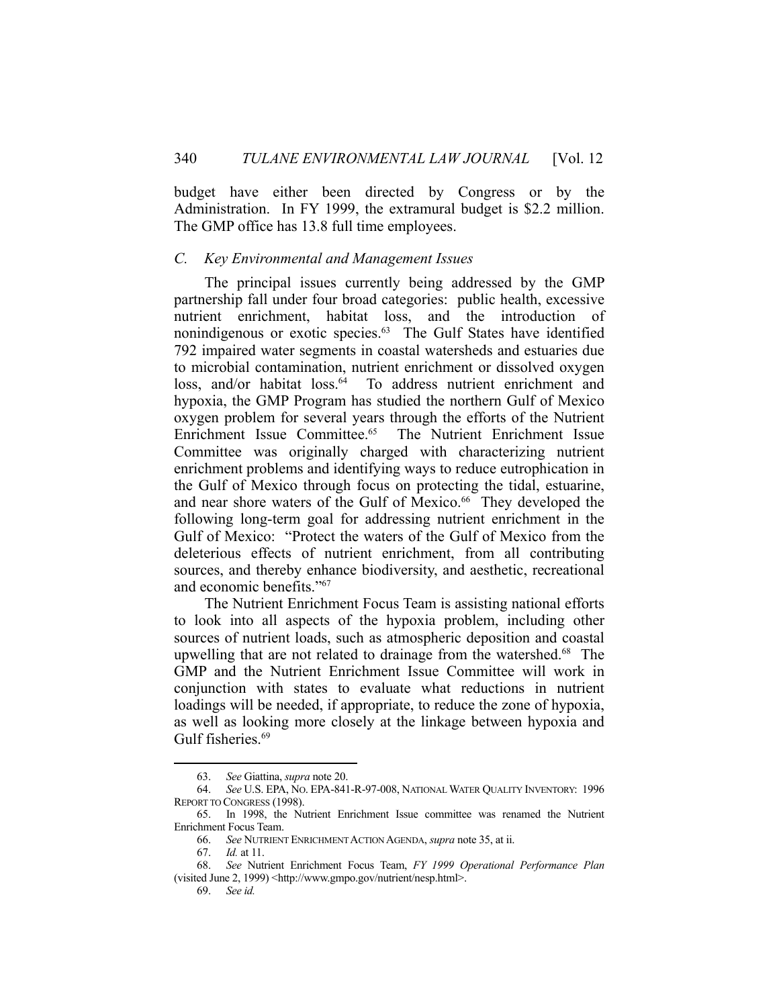budget have either been directed by Congress or by the Administration. In FY 1999, the extramural budget is \$2.2 million. The GMP office has 13.8 full time employees.

# *C. Key Environmental and Management Issues*

 The principal issues currently being addressed by the GMP partnership fall under four broad categories: public health, excessive nutrient enrichment, habitat loss, and the introduction of nonindigenous or exotic species.<sup>63</sup> The Gulf States have identified 792 impaired water segments in coastal watersheds and estuaries due to microbial contamination, nutrient enrichment or dissolved oxygen loss, and/or habitat loss.<sup>64</sup> To address nutrient enrichment and hypoxia, the GMP Program has studied the northern Gulf of Mexico oxygen problem for several years through the efforts of the Nutrient Enrichment Issue Committee.65 The Nutrient Enrichment Issue Committee was originally charged with characterizing nutrient enrichment problems and identifying ways to reduce eutrophication in the Gulf of Mexico through focus on protecting the tidal, estuarine, and near shore waters of the Gulf of Mexico.<sup>66</sup> They developed the following long-term goal for addressing nutrient enrichment in the Gulf of Mexico: "Protect the waters of the Gulf of Mexico from the deleterious effects of nutrient enrichment, from all contributing sources, and thereby enhance biodiversity, and aesthetic, recreational and economic benefits."67

 The Nutrient Enrichment Focus Team is assisting national efforts to look into all aspects of the hypoxia problem, including other sources of nutrient loads, such as atmospheric deposition and coastal upwelling that are not related to drainage from the watershed.68 The GMP and the Nutrient Enrichment Issue Committee will work in conjunction with states to evaluate what reductions in nutrient loadings will be needed, if appropriate, to reduce the zone of hypoxia, as well as looking more closely at the linkage between hypoxia and Gulf fisheries.<sup>69</sup>

 <sup>63.</sup> *See* Giattina, *supra* note 20.

 <sup>64.</sup> *See* U.S. EPA, NO. EPA-841-R-97-008, NATIONAL WATER QUALITY INVENTORY: 1996 REPORT TO CONGRESS (1998).

 <sup>65.</sup> In 1998, the Nutrient Enrichment Issue committee was renamed the Nutrient Enrichment Focus Team.

 <sup>66.</sup> *See* NUTRIENT ENRICHMENT ACTION AGENDA, *supra* note 35, at ii.

 <sup>67.</sup> *Id.* at 11.

 <sup>68.</sup> *See* Nutrient Enrichment Focus Team, *FY 1999 Operational Performance Plan* (visited June 2, 1999) <http://www.gmpo.gov/nutrient/nesp.html>.

 <sup>69.</sup> *See id.*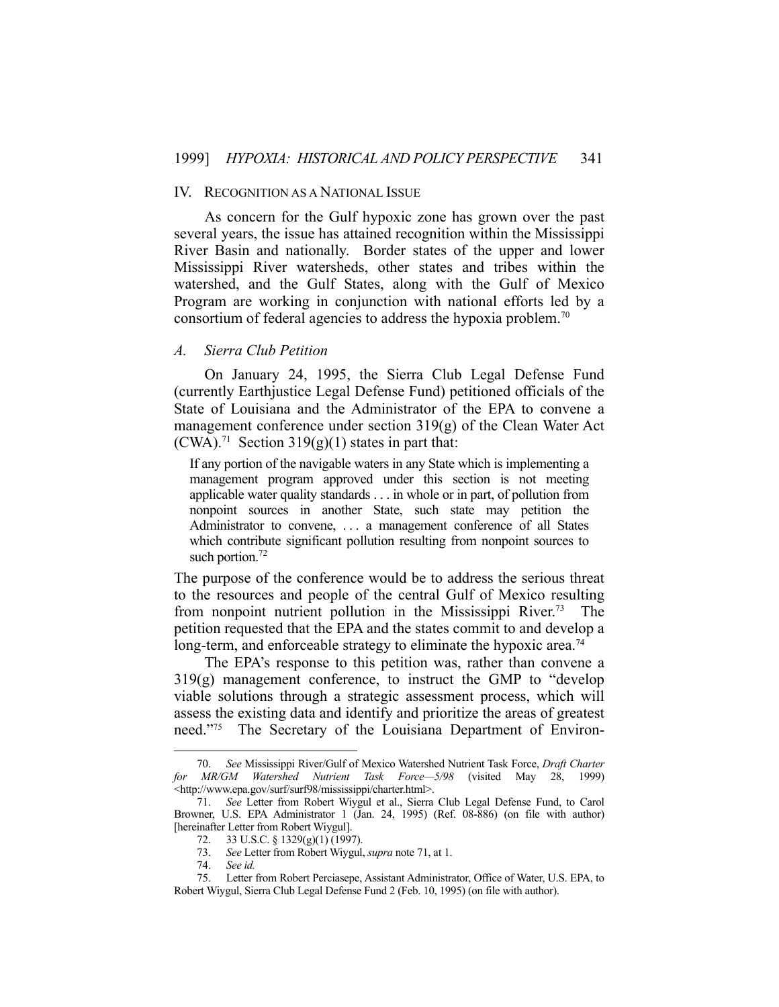#### IV. RECOGNITION AS A NATIONAL ISSUE

 As concern for the Gulf hypoxic zone has grown over the past several years, the issue has attained recognition within the Mississippi River Basin and nationally. Border states of the upper and lower Mississippi River watersheds, other states and tribes within the watershed, and the Gulf States, along with the Gulf of Mexico Program are working in conjunction with national efforts led by a consortium of federal agencies to address the hypoxia problem.<sup>70</sup>

## *A. Sierra Club Petition*

 On January 24, 1995, the Sierra Club Legal Defense Fund (currently Earthjustice Legal Defense Fund) petitioned officials of the State of Louisiana and the Administrator of the EPA to convene a management conference under section 319(g) of the Clean Water Act  $(CWA).<sup>71</sup>$  Section 319(g)(1) states in part that:

If any portion of the navigable waters in any State which is implementing a management program approved under this section is not meeting applicable water quality standards . . . in whole or in part, of pollution from nonpoint sources in another State, such state may petition the Administrator to convene, ... a management conference of all States which contribute significant pollution resulting from nonpoint sources to such portion. $72$ 

The purpose of the conference would be to address the serious threat to the resources and people of the central Gulf of Mexico resulting from nonpoint nutrient pollution in the Mississippi River.<sup>73</sup> The petition requested that the EPA and the states commit to and develop a long-term, and enforceable strategy to eliminate the hypoxic area.<sup>74</sup>

 The EPA's response to this petition was, rather than convene a 319(g) management conference, to instruct the GMP to "develop viable solutions through a strategic assessment process, which will assess the existing data and identify and prioritize the areas of greatest need."75 The Secretary of the Louisiana Department of Environ-

 <sup>70.</sup> *See* Mississippi River/Gulf of Mexico Watershed Nutrient Task Force, *Draft Charter for MR/GM Watershed Nutrient Task Force—5/98* (visited May 28, 1999) <http://www.epa.gov/surf/surf98/mississippi/charter.html>.

 <sup>71.</sup> *See* Letter from Robert Wiygul et al., Sierra Club Legal Defense Fund, to Carol Browner, U.S. EPA Administrator 1 (Jan. 24, 1995) (Ref. 08-886) (on file with author) [hereinafter Letter from Robert Wiygul].

 <sup>72. 33</sup> U.S.C. § 1329(g)(1) (1997).

 <sup>73.</sup> *See* Letter from Robert Wiygul, *supra* note 71, at 1.

 <sup>74.</sup> *See id.*

 <sup>75.</sup> Letter from Robert Perciasepe, Assistant Administrator, Office of Water, U.S. EPA, to Robert Wiygul, Sierra Club Legal Defense Fund 2 (Feb. 10, 1995) (on file with author).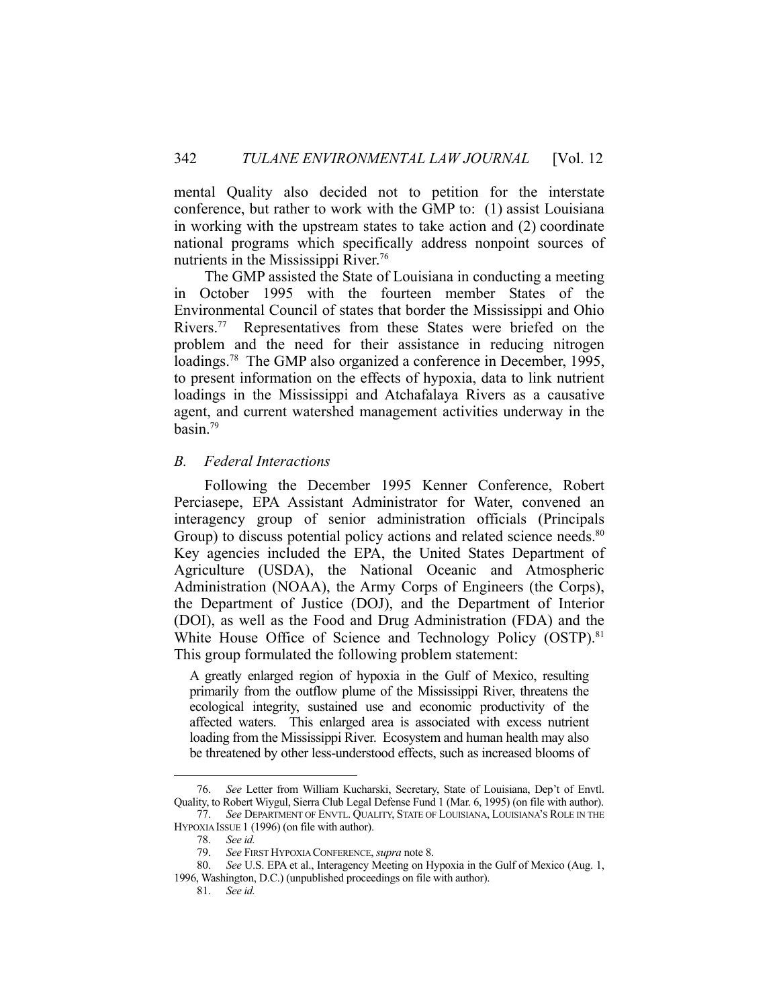mental Quality also decided not to petition for the interstate conference, but rather to work with the GMP to: (1) assist Louisiana in working with the upstream states to take action and (2) coordinate national programs which specifically address nonpoint sources of nutrients in the Mississippi River.<sup>76</sup>

 The GMP assisted the State of Louisiana in conducting a meeting in October 1995 with the fourteen member States of the Environmental Council of states that border the Mississippi and Ohio Rivers.<sup>77</sup> Representatives from these States were briefed on the problem and the need for their assistance in reducing nitrogen loadings.<sup>78</sup> The GMP also organized a conference in December, 1995, to present information on the effects of hypoxia, data to link nutrient loadings in the Mississippi and Atchafalaya Rivers as a causative agent, and current watershed management activities underway in the basin.79

# *B. Federal Interactions*

 Following the December 1995 Kenner Conference, Robert Perciasepe, EPA Assistant Administrator for Water, convened an interagency group of senior administration officials (Principals Group) to discuss potential policy actions and related science needs.<sup>80</sup> Key agencies included the EPA, the United States Department of Agriculture (USDA), the National Oceanic and Atmospheric Administration (NOAA), the Army Corps of Engineers (the Corps), the Department of Justice (DOJ), and the Department of Interior (DOI), as well as the Food and Drug Administration (FDA) and the White House Office of Science and Technology Policy (OSTP).<sup>81</sup> This group formulated the following problem statement:

A greatly enlarged region of hypoxia in the Gulf of Mexico, resulting primarily from the outflow plume of the Mississippi River, threatens the ecological integrity, sustained use and economic productivity of the affected waters. This enlarged area is associated with excess nutrient loading from the Mississippi River. Ecosystem and human health may also be threatened by other less-understood effects, such as increased blooms of

 <sup>76.</sup> *See* Letter from William Kucharski, Secretary, State of Louisiana, Dep't of Envtl. Quality, to Robert Wiygul, Sierra Club Legal Defense Fund 1 (Mar. 6, 1995) (on file with author).

 <sup>77.</sup> *See* DEPARTMENT OF ENVTL. QUALITY, STATE OF LOUISIANA, LOUISIANA'S ROLE IN THE HYPOXIA ISSUE 1 (1996) (on file with author).

 <sup>78.</sup> *See id.*

 <sup>79.</sup> *See* FIRST HYPOXIA CONFERENCE, *supra* note 8.

 <sup>80.</sup> *See* U.S. EPA et al., Interagency Meeting on Hypoxia in the Gulf of Mexico (Aug. 1, 1996, Washington, D.C.) (unpublished proceedings on file with author).

 <sup>81.</sup> *See id.*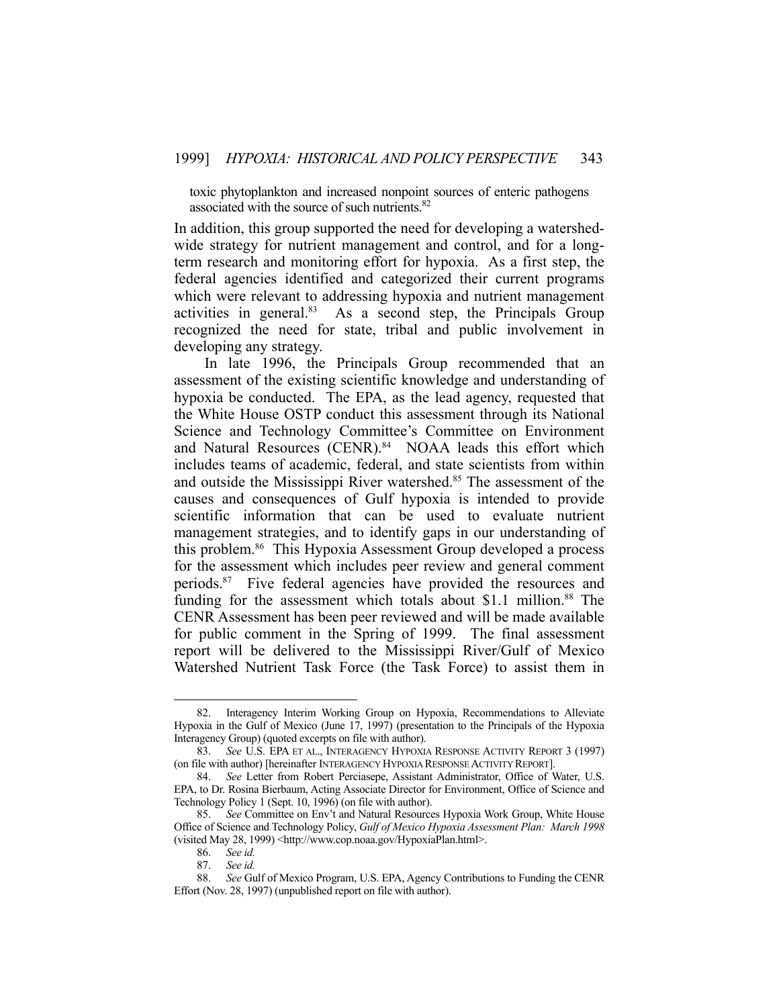toxic phytoplankton and increased nonpoint sources of enteric pathogens associated with the source of such nutrients.<sup>82</sup>

In addition, this group supported the need for developing a watershedwide strategy for nutrient management and control, and for a longterm research and monitoring effort for hypoxia. As a first step, the federal agencies identified and categorized their current programs which were relevant to addressing hypoxia and nutrient management activities in general.<sup>83</sup> As a second step, the Principals Group recognized the need for state, tribal and public involvement in developing any strategy.

 In late 1996, the Principals Group recommended that an assessment of the existing scientific knowledge and understanding of hypoxia be conducted. The EPA, as the lead agency, requested that the White House OSTP conduct this assessment through its National Science and Technology Committee's Committee on Environment and Natural Resources (CENR).<sup>84</sup> NOAA leads this effort which includes teams of academic, federal, and state scientists from within and outside the Mississippi River watershed.<sup>85</sup> The assessment of the causes and consequences of Gulf hypoxia is intended to provide scientific information that can be used to evaluate nutrient management strategies, and to identify gaps in our understanding of this problem.86 This Hypoxia Assessment Group developed a process for the assessment which includes peer review and general comment periods.87 Five federal agencies have provided the resources and funding for the assessment which totals about \$1.1 million.<sup>88</sup> The CENR Assessment has been peer reviewed and will be made available for public comment in the Spring of 1999. The final assessment report will be delivered to the Mississippi River/Gulf of Mexico Watershed Nutrient Task Force (the Task Force) to assist them in

 <sup>82.</sup> Interagency Interim Working Group on Hypoxia, Recommendations to Alleviate Hypoxia in the Gulf of Mexico (June 17, 1997) (presentation to the Principals of the Hypoxia Interagency Group) (quoted excerpts on file with author).

 <sup>83.</sup> *See* U.S. EPA ET AL., INTERAGENCY HYPOXIA RESPONSE ACTIVITY REPORT 3 (1997) (on file with author) [hereinafter INTERAGENCY HYPOXIA RESPONSE ACTIVITY REPORT].

 <sup>84.</sup> *See* Letter from Robert Perciasepe, Assistant Administrator, Office of Water, U.S. EPA, to Dr. Rosina Bierbaum, Acting Associate Director for Environment, Office of Science and Technology Policy 1 (Sept. 10, 1996) (on file with author).

 <sup>85.</sup> *See* Committee on Env't and Natural Resources Hypoxia Work Group, White House Office of Science and Technology Policy, *Gulf of Mexico Hypoxia Assessment Plan: March 1998* (visited May 28, 1999) <http://www.cop.noaa.gov/HypoxiaPlan.html>.

 <sup>86.</sup> *See id.*

 <sup>87.</sup> *See id.*

 <sup>88.</sup> *See* Gulf of Mexico Program, U.S. EPA, Agency Contributions to Funding the CENR Effort (Nov. 28, 1997) (unpublished report on file with author).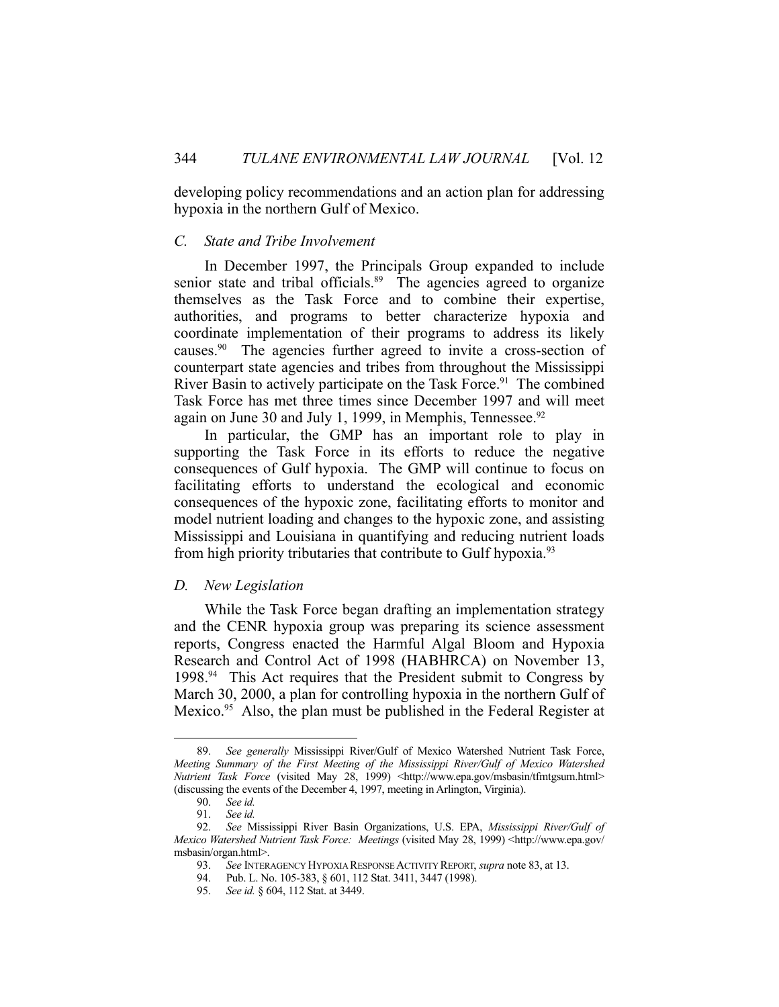developing policy recommendations and an action plan for addressing hypoxia in the northern Gulf of Mexico.

# *C. State and Tribe Involvement*

 In December 1997, the Principals Group expanded to include senior state and tribal officials.<sup>89</sup> The agencies agreed to organize themselves as the Task Force and to combine their expertise, authorities, and programs to better characterize hypoxia and coordinate implementation of their programs to address its likely causes.90 The agencies further agreed to invite a cross-section of counterpart state agencies and tribes from throughout the Mississippi River Basin to actively participate on the Task Force.<sup>91</sup> The combined Task Force has met three times since December 1997 and will meet again on June 30 and July 1, 1999, in Memphis, Tennessee.<sup>92</sup>

 In particular, the GMP has an important role to play in supporting the Task Force in its efforts to reduce the negative consequences of Gulf hypoxia. The GMP will continue to focus on facilitating efforts to understand the ecological and economic consequences of the hypoxic zone, facilitating efforts to monitor and model nutrient loading and changes to the hypoxic zone, and assisting Mississippi and Louisiana in quantifying and reducing nutrient loads from high priority tributaries that contribute to Gulf hypoxia.<sup>93</sup>

#### *D. New Legislation*

 While the Task Force began drafting an implementation strategy and the CENR hypoxia group was preparing its science assessment reports, Congress enacted the Harmful Algal Bloom and Hypoxia Research and Control Act of 1998 (HABHRCA) on November 13, 1998.94 This Act requires that the President submit to Congress by March 30, 2000, a plan for controlling hypoxia in the northern Gulf of Mexico.<sup>95</sup> Also, the plan must be published in the Federal Register at

 <sup>89.</sup> *See generally* Mississippi River/Gulf of Mexico Watershed Nutrient Task Force, *Meeting Summary of the First Meeting of the Mississippi River/Gulf of Mexico Watershed Nutrient Task Force* (visited May 28, 1999) <http://www.epa.gov/msbasin/tfmtgsum.html> (discussing the events of the December 4, 1997, meeting in Arlington, Virginia).

 <sup>90.</sup> *See id.*

 <sup>91.</sup> *See id.*

 <sup>92.</sup> *See* Mississippi River Basin Organizations, U.S. EPA, *Mississippi River/Gulf of Mexico Watershed Nutrient Task Force: Meetings* (visited May 28, 1999) <http://www.epa.gov/ msbasin/organ.html>.

 <sup>93.</sup> *See* INTERAGENCY HYPOXIA RESPONSE ACTIVITY REPORT, *supra* note 83, at 13.

 <sup>94.</sup> Pub. L. No. 105-383, § 601, 112 Stat. 3411, 3447 (1998).

 <sup>95.</sup> *See id.* § 604, 112 Stat. at 3449.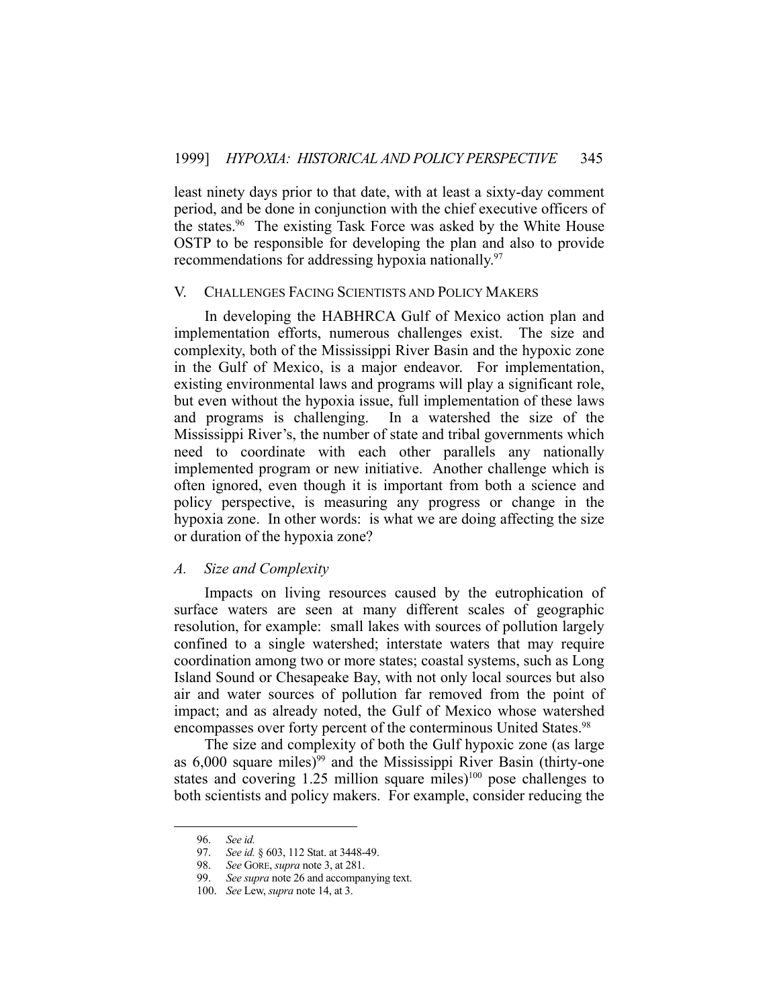least ninety days prior to that date, with at least a sixty-day comment period, and be done in conjunction with the chief executive officers of the states.<sup>96</sup> The existing Task Force was asked by the White House OSTP to be responsible for developing the plan and also to provide recommendations for addressing hypoxia nationally.<sup>97</sup>

#### V. CHALLENGES FACING SCIENTISTS AND POLICY MAKERS

 In developing the HABHRCA Gulf of Mexico action plan and implementation efforts, numerous challenges exist. The size and complexity, both of the Mississippi River Basin and the hypoxic zone in the Gulf of Mexico, is a major endeavor. For implementation, existing environmental laws and programs will play a significant role, but even without the hypoxia issue, full implementation of these laws and programs is challenging. In a watershed the size of the Mississippi River's, the number of state and tribal governments which need to coordinate with each other parallels any nationally implemented program or new initiative. Another challenge which is often ignored, even though it is important from both a science and policy perspective, is measuring any progress or change in the hypoxia zone. In other words: is what we are doing affecting the size or duration of the hypoxia zone?

# *A. Size and Complexity*

 Impacts on living resources caused by the eutrophication of surface waters are seen at many different scales of geographic resolution, for example: small lakes with sources of pollution largely confined to a single watershed; interstate waters that may require coordination among two or more states; coastal systems, such as Long Island Sound or Chesapeake Bay, with not only local sources but also air and water sources of pollution far removed from the point of impact; and as already noted, the Gulf of Mexico whose watershed encompasses over forty percent of the conterminous United States.<sup>98</sup>

 The size and complexity of both the Gulf hypoxic zone (as large as  $6,000$  square miles)<sup>99</sup> and the Mississippi River Basin (thirty-one states and covering  $1.25$  million square miles)<sup>100</sup> pose challenges to both scientists and policy makers. For example, consider reducing the

 <sup>96.</sup> *See id.*

 <sup>97.</sup> *See id.* § 603, 112 Stat. at 3448-49.

 <sup>98.</sup> *See* GORE, *supra* note 3, at 281.

 <sup>99.</sup> *See supra* note 26 and accompanying text.

 <sup>100.</sup> *See* Lew, *supra* note 14, at 3.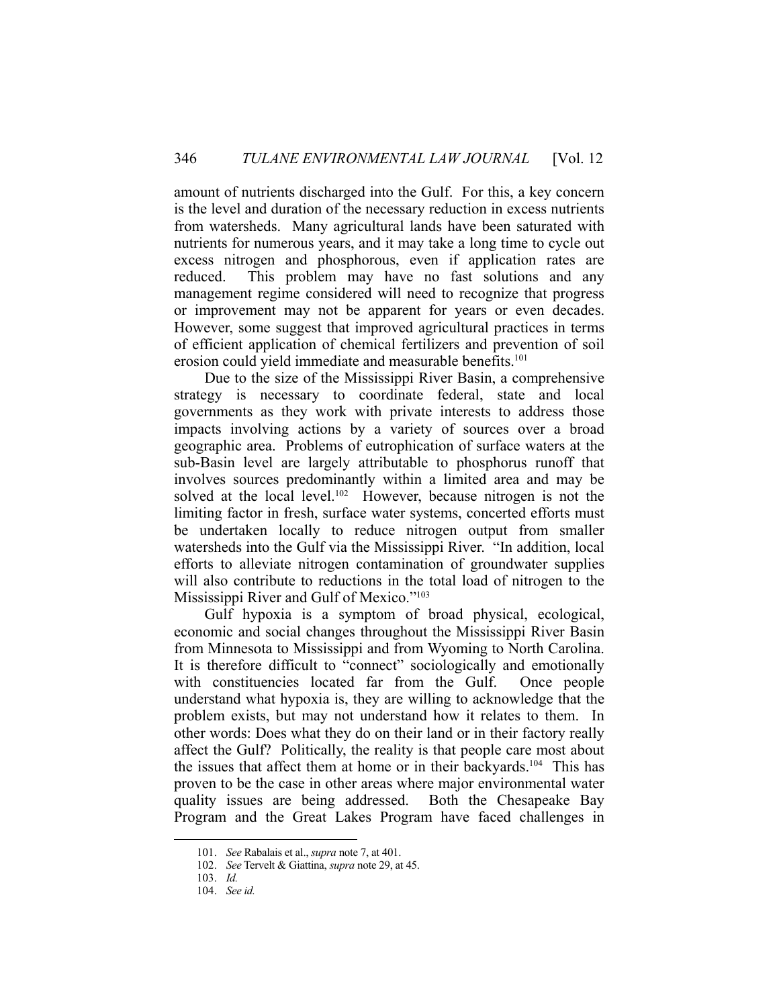amount of nutrients discharged into the Gulf. For this, a key concern is the level and duration of the necessary reduction in excess nutrients from watersheds. Many agricultural lands have been saturated with nutrients for numerous years, and it may take a long time to cycle out excess nitrogen and phosphorous, even if application rates are reduced. This problem may have no fast solutions and any management regime considered will need to recognize that progress or improvement may not be apparent for years or even decades. However, some suggest that improved agricultural practices in terms of efficient application of chemical fertilizers and prevention of soil erosion could yield immediate and measurable benefits.<sup>101</sup>

 Due to the size of the Mississippi River Basin, a comprehensive strategy is necessary to coordinate federal, state and local governments as they work with private interests to address those impacts involving actions by a variety of sources over a broad geographic area. Problems of eutrophication of surface waters at the sub-Basin level are largely attributable to phosphorus runoff that involves sources predominantly within a limited area and may be solved at the local level.<sup>102</sup> However, because nitrogen is not the limiting factor in fresh, surface water systems, concerted efforts must be undertaken locally to reduce nitrogen output from smaller watersheds into the Gulf via the Mississippi River. "In addition, local efforts to alleviate nitrogen contamination of groundwater supplies will also contribute to reductions in the total load of nitrogen to the Mississippi River and Gulf of Mexico."103

 Gulf hypoxia is a symptom of broad physical, ecological, economic and social changes throughout the Mississippi River Basin from Minnesota to Mississippi and from Wyoming to North Carolina. It is therefore difficult to "connect" sociologically and emotionally with constituencies located far from the Gulf. Once people understand what hypoxia is, they are willing to acknowledge that the problem exists, but may not understand how it relates to them. In other words: Does what they do on their land or in their factory really affect the Gulf? Politically, the reality is that people care most about the issues that affect them at home or in their backyards.104 This has proven to be the case in other areas where major environmental water quality issues are being addressed. Both the Chesapeake Bay Program and the Great Lakes Program have faced challenges in

 <sup>101.</sup> *See* Rabalais et al., *supra* note 7, at 401.

 <sup>102.</sup> *See* Tervelt & Giattina, *supra* note 29, at 45.

 <sup>103.</sup> *Id.*

 <sup>104.</sup> *See id.*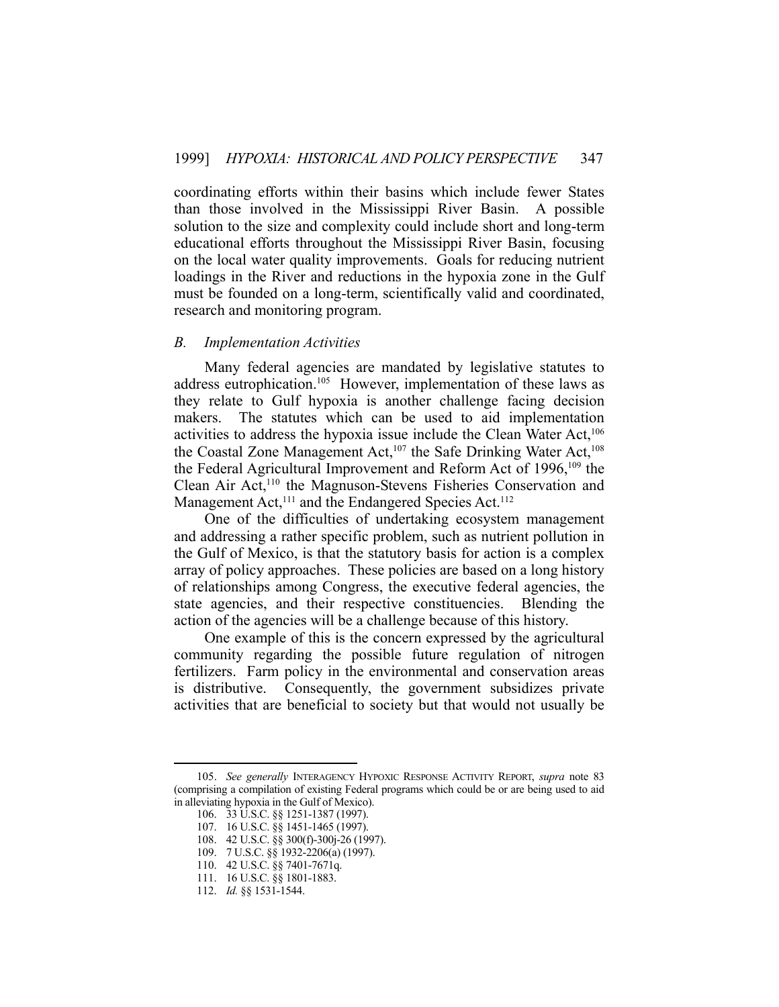coordinating efforts within their basins which include fewer States than those involved in the Mississippi River Basin. A possible solution to the size and complexity could include short and long-term educational efforts throughout the Mississippi River Basin, focusing on the local water quality improvements. Goals for reducing nutrient loadings in the River and reductions in the hypoxia zone in the Gulf must be founded on a long-term, scientifically valid and coordinated, research and monitoring program.

# *B. Implementation Activities*

 Many federal agencies are mandated by legislative statutes to address eutrophication.<sup>105</sup> However, implementation of these laws as they relate to Gulf hypoxia is another challenge facing decision makers. The statutes which can be used to aid implementation activities to address the hypoxia issue include the Clean Water Act,<sup>106</sup> the Coastal Zone Management Act,<sup>107</sup> the Safe Drinking Water Act,<sup>108</sup> the Federal Agricultural Improvement and Reform Act of 1996,<sup>109</sup> the Clean Air Act,<sup>110</sup> the Magnuson-Stevens Fisheries Conservation and Management Act,<sup>111</sup> and the Endangered Species Act.<sup>112</sup>

 One of the difficulties of undertaking ecosystem management and addressing a rather specific problem, such as nutrient pollution in the Gulf of Mexico, is that the statutory basis for action is a complex array of policy approaches. These policies are based on a long history of relationships among Congress, the executive federal agencies, the state agencies, and their respective constituencies. Blending the action of the agencies will be a challenge because of this history.

 One example of this is the concern expressed by the agricultural community regarding the possible future regulation of nitrogen fertilizers. Farm policy in the environmental and conservation areas is distributive. Consequently, the government subsidizes private activities that are beneficial to society but that would not usually be

 <sup>105.</sup> *See generally* INTERAGENCY HYPOXIC RESPONSE ACTIVITY REPORT, *supra* note 83 (comprising a compilation of existing Federal programs which could be or are being used to aid in alleviating hypoxia in the Gulf of Mexico).

 <sup>106. 33</sup> U.S.C. §§ 1251-1387 (1997).

 <sup>107. 16</sup> U.S.C. §§ 1451-1465 (1997).

 <sup>108. 42</sup> U.S.C. §§ 300(f)-300j-26 (1997).

 <sup>109. 7</sup> U.S.C. §§ 1932-2206(a) (1997).

 <sup>110. 42</sup> U.S.C. §§ 7401-7671q.

 <sup>111. 16</sup> U.S.C. §§ 1801-1883.

 <sup>112.</sup> *Id.* §§ 1531-1544.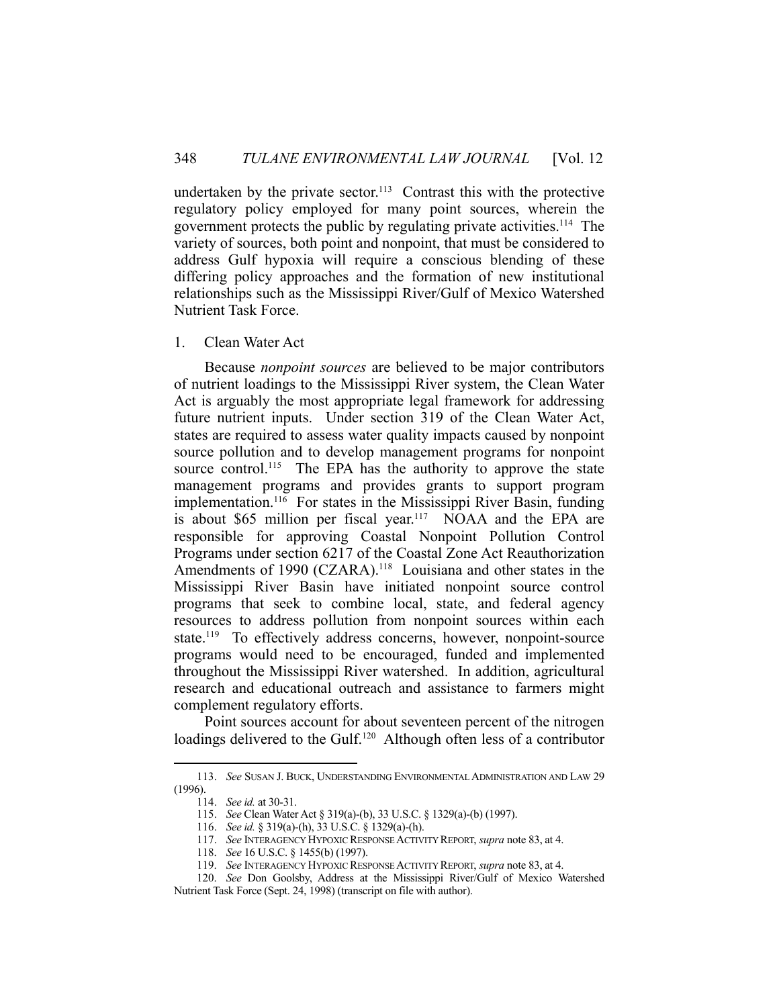undertaken by the private sector.<sup>113</sup> Contrast this with the protective regulatory policy employed for many point sources, wherein the government protects the public by regulating private activities. 114 The variety of sources, both point and nonpoint, that must be considered to address Gulf hypoxia will require a conscious blending of these differing policy approaches and the formation of new institutional relationships such as the Mississippi River/Gulf of Mexico Watershed Nutrient Task Force.

# 1. Clean Water Act

 Because *nonpoint sources* are believed to be major contributors of nutrient loadings to the Mississippi River system, the Clean Water Act is arguably the most appropriate legal framework for addressing future nutrient inputs. Under section 319 of the Clean Water Act, states are required to assess water quality impacts caused by nonpoint source pollution and to develop management programs for nonpoint source control.<sup>115</sup> The EPA has the authority to approve the state management programs and provides grants to support program implementation.<sup>116</sup> For states in the Mississippi River Basin, funding is about \$65 million per fiscal year.<sup>117</sup> NOAA and the EPA are responsible for approving Coastal Nonpoint Pollution Control Programs under section 6217 of the Coastal Zone Act Reauthorization Amendments of 1990 (CZARA).<sup>118</sup> Louisiana and other states in the Mississippi River Basin have initiated nonpoint source control programs that seek to combine local, state, and federal agency resources to address pollution from nonpoint sources within each state.119 To effectively address concerns, however, nonpoint-source programs would need to be encouraged, funded and implemented throughout the Mississippi River watershed. In addition, agricultural research and educational outreach and assistance to farmers might complement regulatory efforts.

 Point sources account for about seventeen percent of the nitrogen loadings delivered to the Gulf.<sup>120</sup> Although often less of a contributor

 <sup>113.</sup> *See* SUSAN J. BUCK, UNDERSTANDING ENVIRONMENTAL ADMINISTRATION AND LAW 29 (1996).

 <sup>114.</sup> *See id.* at 30-31.

 <sup>115.</sup> *See* Clean Water Act § 319(a)-(b), 33 U.S.C. § 1329(a)-(b) (1997).

 <sup>116.</sup> *See id.* § 319(a)-(h), 33 U.S.C. § 1329(a)-(h).

 <sup>117.</sup> *See* INTERAGENCY HYPOXIC RESPONSE ACTIVITY REPORT, *supra* note 83, at 4.

 <sup>118.</sup> *See* 16 U.S.C. § 1455(b) (1997).

 <sup>119.</sup> *See* INTERAGENCY HYPOXIC RESPONSE ACTIVITY REPORT, *supra* note 83, at 4.

 <sup>120.</sup> *See* Don Goolsby, Address at the Mississippi River/Gulf of Mexico Watershed Nutrient Task Force (Sept. 24, 1998) (transcript on file with author).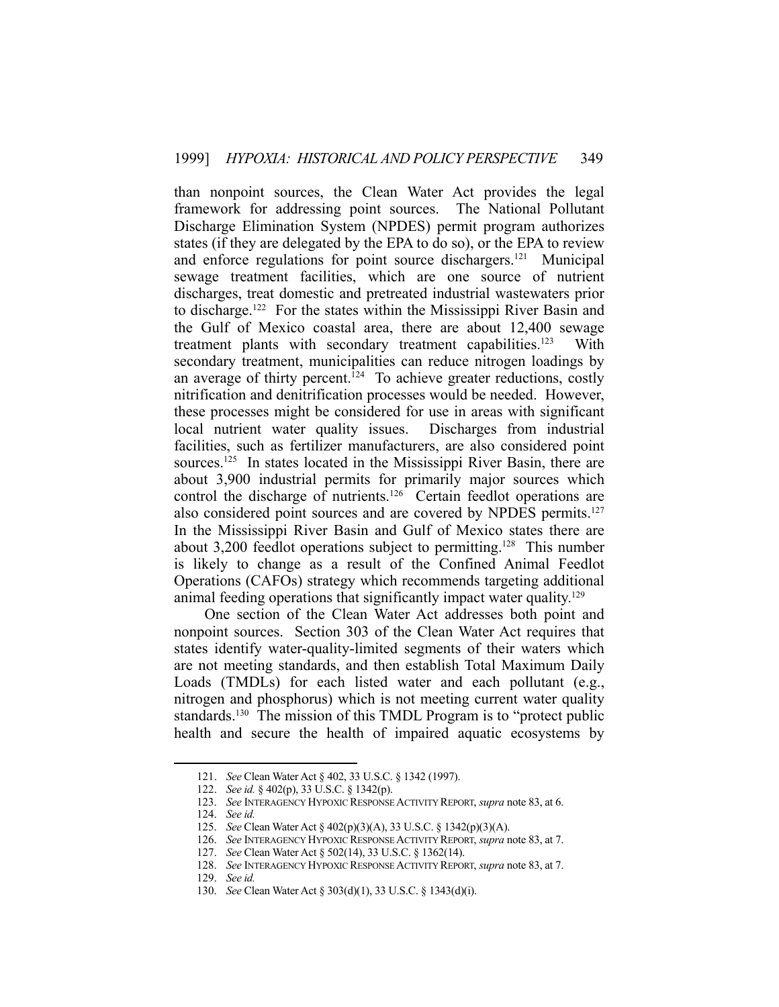than nonpoint sources, the Clean Water Act provides the legal framework for addressing point sources. The National Pollutant Discharge Elimination System (NPDES) permit program authorizes states (if they are delegated by the EPA to do so), or the EPA to review and enforce regulations for point source dischargers.121 Municipal sewage treatment facilities, which are one source of nutrient discharges, treat domestic and pretreated industrial wastewaters prior to discharge.122 For the states within the Mississippi River Basin and the Gulf of Mexico coastal area, there are about 12,400 sewage treatment plants with secondary treatment capabilities.<sup>123</sup> With secondary treatment, municipalities can reduce nitrogen loadings by an average of thirty percent.<sup>124</sup> To achieve greater reductions, costly nitrification and denitrification processes would be needed. However, these processes might be considered for use in areas with significant local nutrient water quality issues. Discharges from industrial facilities, such as fertilizer manufacturers, are also considered point sources.<sup>125</sup> In states located in the Mississippi River Basin, there are about 3,900 industrial permits for primarily major sources which control the discharge of nutrients.<sup>126</sup> Certain feedlot operations are also considered point sources and are covered by NPDES permits.<sup>127</sup> In the Mississippi River Basin and Gulf of Mexico states there are about 3,200 feedlot operations subject to permitting.<sup>128</sup> This number is likely to change as a result of the Confined Animal Feedlot Operations (CAFOs) strategy which recommends targeting additional animal feeding operations that significantly impact water quality.<sup>129</sup>

 One section of the Clean Water Act addresses both point and nonpoint sources. Section 303 of the Clean Water Act requires that states identify water-quality-limited segments of their waters which are not meeting standards, and then establish Total Maximum Daily Loads (TMDLs) for each listed water and each pollutant (e.g., nitrogen and phosphorus) which is not meeting current water quality standards.<sup>130</sup> The mission of this TMDL Program is to "protect public health and secure the health of impaired aquatic ecosystems by

 <sup>121.</sup> *See* Clean Water Act § 402, 33 U.S.C. § 1342 (1997).

 <sup>122.</sup> *See id.* § 402(p), 33 U.S.C. § 1342(p).

 <sup>123.</sup> *See* INTERAGENCY HYPOXIC RESPONSE ACTIVITY REPORT, *supra* note 83, at 6.

 <sup>124.</sup> *See id.*

 <sup>125.</sup> *See* Clean Water Act § 402(p)(3)(A), 33 U.S.C. § 1342(p)(3)(A).

 <sup>126.</sup> *See* INTERAGENCY HYPOXIC RESPONSE ACTIVITY REPORT, *supra* note 83, at 7.

 <sup>127.</sup> *See* Clean Water Act § 502(14), 33 U.S.C. § 1362(14).

 <sup>128.</sup> *See* INTERAGENCY HYPOXIC RESPONSE ACTIVITY REPORT, *supra* note 83, at 7.

 <sup>129.</sup> *See id.*

 <sup>130.</sup> *See* Clean Water Act § 303(d)(1), 33 U.S.C. § 1343(d)(i).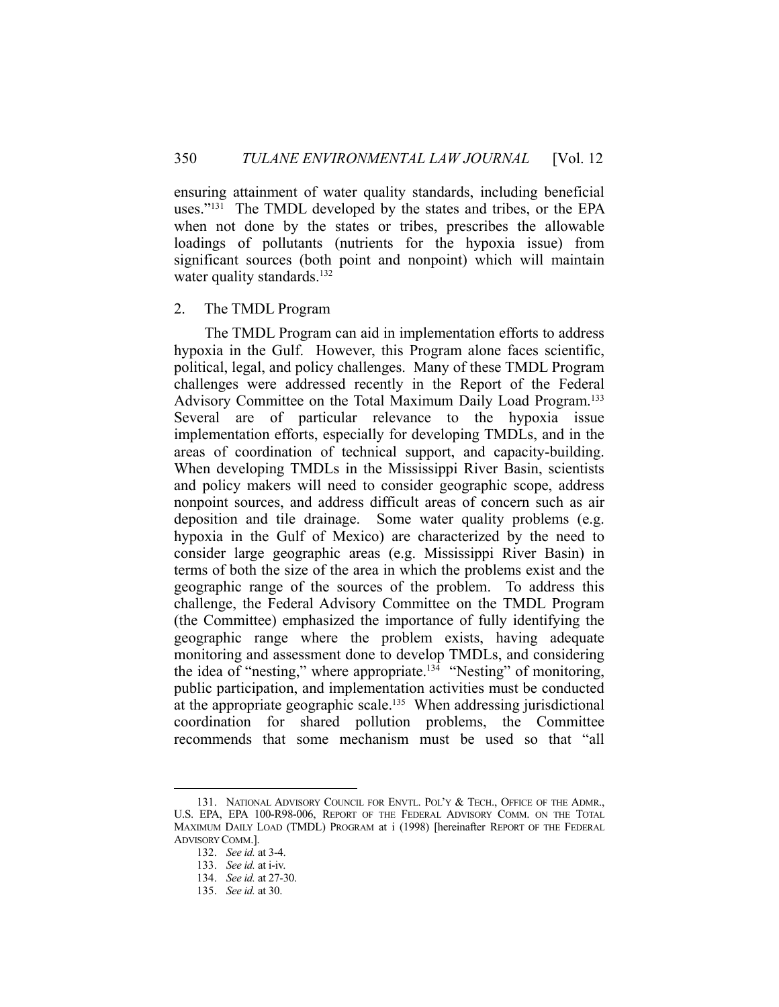ensuring attainment of water quality standards, including beneficial uses."<sup>131</sup> The TMDL developed by the states and tribes, or the EPA when not done by the states or tribes, prescribes the allowable loadings of pollutants (nutrients for the hypoxia issue) from significant sources (both point and nonpoint) which will maintain water quality standards.<sup>132</sup>

# 2. The TMDL Program

 The TMDL Program can aid in implementation efforts to address hypoxia in the Gulf. However, this Program alone faces scientific, political, legal, and policy challenges. Many of these TMDL Program challenges were addressed recently in the Report of the Federal Advisory Committee on the Total Maximum Daily Load Program.133 Several are of particular relevance to the hypoxia issue implementation efforts, especially for developing TMDLs, and in the areas of coordination of technical support, and capacity-building. When developing TMDLs in the Mississippi River Basin, scientists and policy makers will need to consider geographic scope, address nonpoint sources, and address difficult areas of concern such as air deposition and tile drainage. Some water quality problems (e.g. hypoxia in the Gulf of Mexico) are characterized by the need to consider large geographic areas (e.g. Mississippi River Basin) in terms of both the size of the area in which the problems exist and the geographic range of the sources of the problem. To address this challenge, the Federal Advisory Committee on the TMDL Program (the Committee) emphasized the importance of fully identifying the geographic range where the problem exists, having adequate monitoring and assessment done to develop TMDLs, and considering the idea of "nesting," where appropriate.<sup>134</sup> "Nesting" of monitoring, public participation, and implementation activities must be conducted at the appropriate geographic scale.<sup>135</sup> When addressing jurisdictional coordination for shared pollution problems, the Committee recommends that some mechanism must be used so that "all

 <sup>131.</sup> NATIONAL ADVISORY COUNCIL FOR ENVTL. POL'Y & TECH., OFFICE OF THE ADMR., U.S. EPA, EPA 100-R98-006, REPORT OF THE FEDERAL ADVISORY COMM. ON THE TOTAL MAXIMUM DAILY LOAD (TMDL) PROGRAM at i (1998) [hereinafter REPORT OF THE FEDERAL ADVISORY COMM.].

 <sup>132.</sup> *See id.* at 3-4.

 <sup>133.</sup> *See id.* at i-iv.

 <sup>134.</sup> *See id.* at 27-30.

 <sup>135.</sup> *See id.* at 30.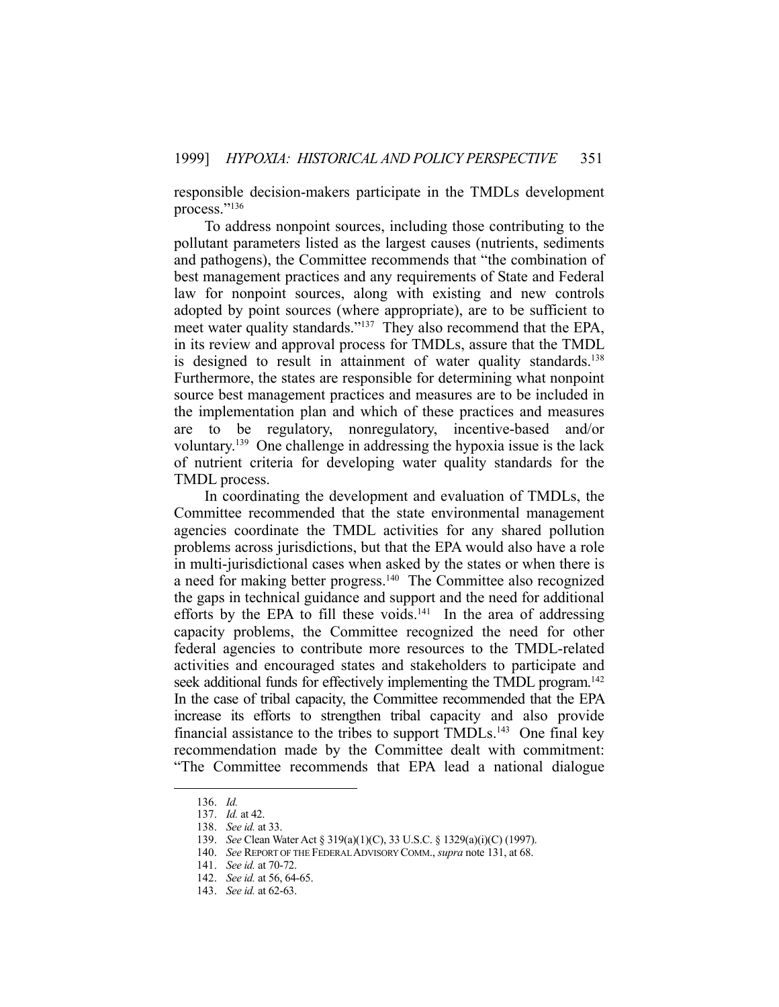responsible decision-makers participate in the TMDLs development process."<sup>136</sup>

 To address nonpoint sources, including those contributing to the pollutant parameters listed as the largest causes (nutrients, sediments and pathogens), the Committee recommends that "the combination of best management practices and any requirements of State and Federal law for nonpoint sources, along with existing and new controls adopted by point sources (where appropriate), are to be sufficient to meet water quality standards."<sup>137</sup> They also recommend that the EPA, in its review and approval process for TMDLs, assure that the TMDL is designed to result in attainment of water quality standards.<sup>138</sup> Furthermore, the states are responsible for determining what nonpoint source best management practices and measures are to be included in the implementation plan and which of these practices and measures are to be regulatory, nonregulatory, incentive-based and/or voluntary.139 One challenge in addressing the hypoxia issue is the lack of nutrient criteria for developing water quality standards for the TMDL process.

 In coordinating the development and evaluation of TMDLs, the Committee recommended that the state environmental management agencies coordinate the TMDL activities for any shared pollution problems across jurisdictions, but that the EPA would also have a role in multi-jurisdictional cases when asked by the states or when there is a need for making better progress.<sup>140</sup> The Committee also recognized the gaps in technical guidance and support and the need for additional efforts by the EPA to fill these voids.<sup>141</sup> In the area of addressing capacity problems, the Committee recognized the need for other federal agencies to contribute more resources to the TMDL-related activities and encouraged states and stakeholders to participate and seek additional funds for effectively implementing the TMDL program.<sup>142</sup> In the case of tribal capacity, the Committee recommended that the EPA increase its efforts to strengthen tribal capacity and also provide financial assistance to the tribes to support  $TMDLs<sup>143</sup>$  One final key recommendation made by the Committee dealt with commitment: "The Committee recommends that EPA lead a national dialogue

 <sup>136.</sup> *Id.*

 <sup>137.</sup> *Id.* at 42.

 <sup>138.</sup> *See id.* at 33.

 <sup>139.</sup> *See* Clean Water Act § 319(a)(1)(C), 33 U.S.C. § 1329(a)(i)(C) (1997).

 <sup>140.</sup> *See* REPORT OF THE FEDERAL ADVISORY COMM., *supra* note 131, at 68.

 <sup>141.</sup> *See id.* at 70-72.

 <sup>142.</sup> *See id.* at 56, 64-65.

 <sup>143.</sup> *See id.* at 62-63.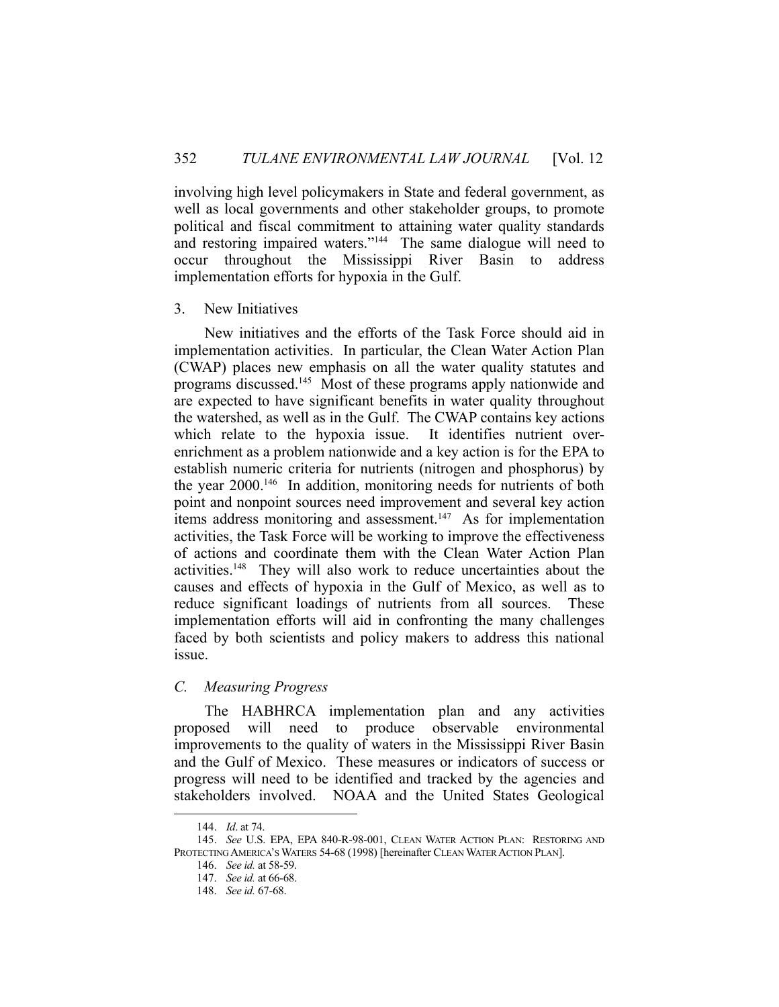involving high level policymakers in State and federal government, as well as local governments and other stakeholder groups, to promote political and fiscal commitment to attaining water quality standards and restoring impaired waters."<sup>144</sup> The same dialogue will need to occur throughout the Mississippi River Basin to address implementation efforts for hypoxia in the Gulf.

# 3. New Initiatives

 New initiatives and the efforts of the Task Force should aid in implementation activities. In particular, the Clean Water Action Plan (CWAP) places new emphasis on all the water quality statutes and programs discussed.145 Most of these programs apply nationwide and are expected to have significant benefits in water quality throughout the watershed, as well as in the Gulf. The CWAP contains key actions which relate to the hypoxia issue. It identifies nutrient overenrichment as a problem nationwide and a key action is for the EPA to establish numeric criteria for nutrients (nitrogen and phosphorus) by the year 2000.146 In addition, monitoring needs for nutrients of both point and nonpoint sources need improvement and several key action items address monitoring and assessment.147 As for implementation activities, the Task Force will be working to improve the effectiveness of actions and coordinate them with the Clean Water Action Plan activities.148 They will also work to reduce uncertainties about the causes and effects of hypoxia in the Gulf of Mexico, as well as to reduce significant loadings of nutrients from all sources. These implementation efforts will aid in confronting the many challenges faced by both scientists and policy makers to address this national issue.

# *C. Measuring Progress*

 The HABHRCA implementation plan and any activities proposed will need to produce observable environmental improvements to the quality of waters in the Mississippi River Basin and the Gulf of Mexico. These measures or indicators of success or progress will need to be identified and tracked by the agencies and stakeholders involved. NOAA and the United States Geological

 <sup>144.</sup> *Id*. at 74.

 <sup>145.</sup> *See* U.S. EPA, EPA 840-R-98-001, CLEAN WATER ACTION PLAN: RESTORING AND PROTECTING AMERICA'S WATERS 54-68 (1998) [hereinafter CLEAN WATER ACTION PLAN].

 <sup>146.</sup> *See id.* at 58-59.

 <sup>147.</sup> *See id.* at 66-68.

 <sup>148.</sup> *See id.* 67-68.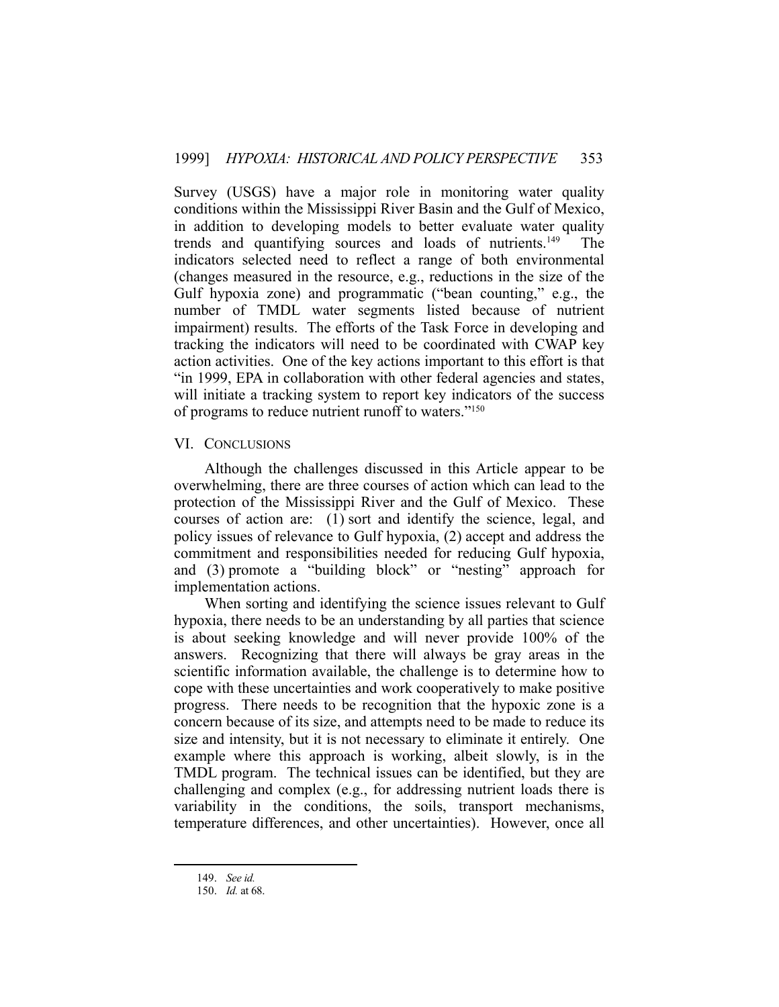Survey (USGS) have a major role in monitoring water quality conditions within the Mississippi River Basin and the Gulf of Mexico, in addition to developing models to better evaluate water quality trends and quantifying sources and loads of nutrients.149 The indicators selected need to reflect a range of both environmental (changes measured in the resource, e.g., reductions in the size of the Gulf hypoxia zone) and programmatic ("bean counting," e.g., the number of TMDL water segments listed because of nutrient impairment) results. The efforts of the Task Force in developing and tracking the indicators will need to be coordinated with CWAP key action activities. One of the key actions important to this effort is that "in 1999, EPA in collaboration with other federal agencies and states, will initiate a tracking system to report key indicators of the success of programs to reduce nutrient runoff to waters."150

# VI. CONCLUSIONS

 Although the challenges discussed in this Article appear to be overwhelming, there are three courses of action which can lead to the protection of the Mississippi River and the Gulf of Mexico. These courses of action are: (1) sort and identify the science, legal, and policy issues of relevance to Gulf hypoxia, (2) accept and address the commitment and responsibilities needed for reducing Gulf hypoxia, and (3) promote a "building block" or "nesting" approach for implementation actions.

 When sorting and identifying the science issues relevant to Gulf hypoxia, there needs to be an understanding by all parties that science is about seeking knowledge and will never provide 100% of the answers. Recognizing that there will always be gray areas in the scientific information available, the challenge is to determine how to cope with these uncertainties and work cooperatively to make positive progress. There needs to be recognition that the hypoxic zone is a concern because of its size, and attempts need to be made to reduce its size and intensity, but it is not necessary to eliminate it entirely. One example where this approach is working, albeit slowly, is in the TMDL program. The technical issues can be identified, but they are challenging and complex (e.g., for addressing nutrient loads there is variability in the conditions, the soils, transport mechanisms, temperature differences, and other uncertainties). However, once all

 <sup>149.</sup> *See id.*

 <sup>150.</sup> *Id.* at 68.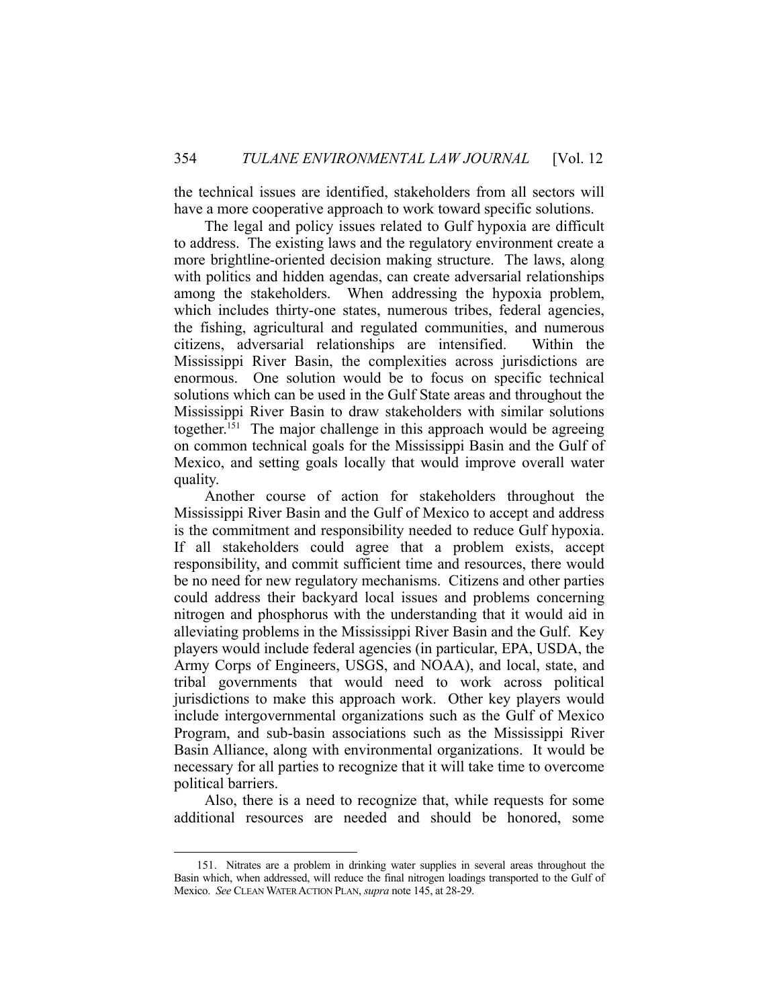the technical issues are identified, stakeholders from all sectors will have a more cooperative approach to work toward specific solutions.

 The legal and policy issues related to Gulf hypoxia are difficult to address. The existing laws and the regulatory environment create a more brightline-oriented decision making structure. The laws, along with politics and hidden agendas, can create adversarial relationships among the stakeholders. When addressing the hypoxia problem, which includes thirty-one states, numerous tribes, federal agencies, the fishing, agricultural and regulated communities, and numerous citizens, adversarial relationships are intensified. Within the Mississippi River Basin, the complexities across jurisdictions are enormous. One solution would be to focus on specific technical solutions which can be used in the Gulf State areas and throughout the Mississippi River Basin to draw stakeholders with similar solutions together.<sup>151</sup> The major challenge in this approach would be agreeing on common technical goals for the Mississippi Basin and the Gulf of Mexico, and setting goals locally that would improve overall water quality.

 Another course of action for stakeholders throughout the Mississippi River Basin and the Gulf of Mexico to accept and address is the commitment and responsibility needed to reduce Gulf hypoxia. If all stakeholders could agree that a problem exists, accept responsibility, and commit sufficient time and resources, there would be no need for new regulatory mechanisms. Citizens and other parties could address their backyard local issues and problems concerning nitrogen and phosphorus with the understanding that it would aid in alleviating problems in the Mississippi River Basin and the Gulf. Key players would include federal agencies (in particular, EPA, USDA, the Army Corps of Engineers, USGS, and NOAA), and local, state, and tribal governments that would need to work across political jurisdictions to make this approach work. Other key players would include intergovernmental organizations such as the Gulf of Mexico Program, and sub-basin associations such as the Mississippi River Basin Alliance, along with environmental organizations. It would be necessary for all parties to recognize that it will take time to overcome political barriers.

 Also, there is a need to recognize that, while requests for some additional resources are needed and should be honored, some

 <sup>151.</sup> Nitrates are a problem in drinking water supplies in several areas throughout the Basin which, when addressed, will reduce the final nitrogen loadings transported to the Gulf of Mexico. *See* CLEAN WATER ACTION PLAN, *supra* note 145, at 28-29.